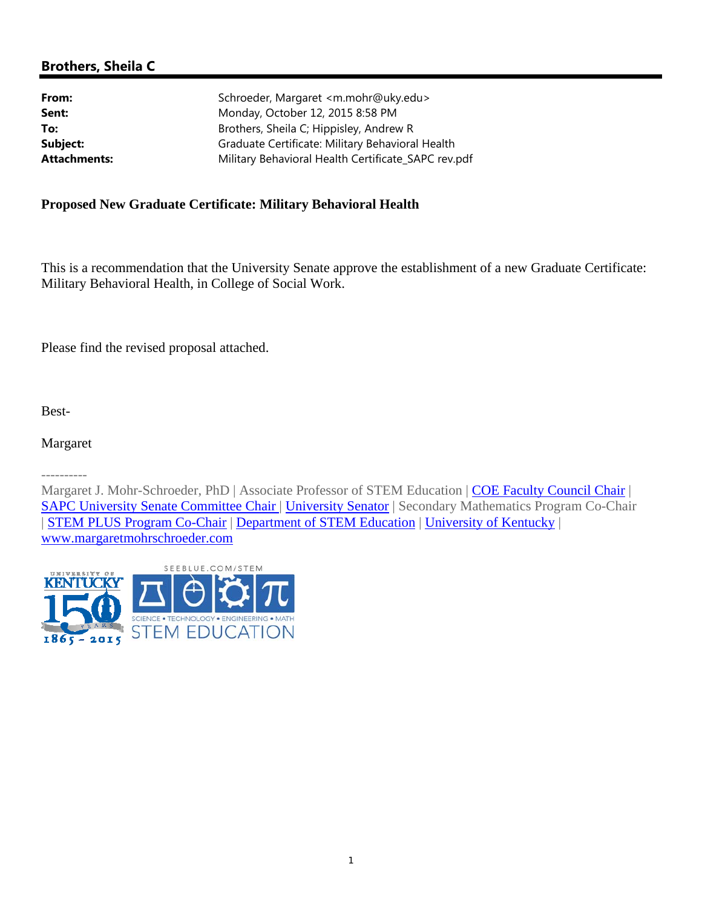# **Brothers, Sheila C**

| Schroeder, Margaret <m.mohr@uky.edu></m.mohr@uky.edu> |
|-------------------------------------------------------|
| Monday, October 12, 2015 8:58 PM                      |
| Brothers, Sheila C; Hippisley, Andrew R               |
| Graduate Certificate: Military Behavioral Health      |
| Military Behavioral Health Certificate_SAPC rev.pdf   |
|                                                       |

## **Proposed New Graduate Certificate: Military Behavioral Health**

This is a recommendation that the University Senate approve the establishment of a new Graduate Certificate: Military Behavioral Health, in College of Social Work.

Please find the revised proposal attached.

Best-

Margaret

----------

Margaret J. Mohr-Schroeder, PhD | Associate Professor of STEM Education | COE Faculty Council Chair | SAPC University Senate Committee Chair | University Senator | Secondary Mathematics Program Co-Chair | STEM PLUS Program Co-Chair | Department of STEM Education | University of Kentucky | www.margaretmohrschroeder.com

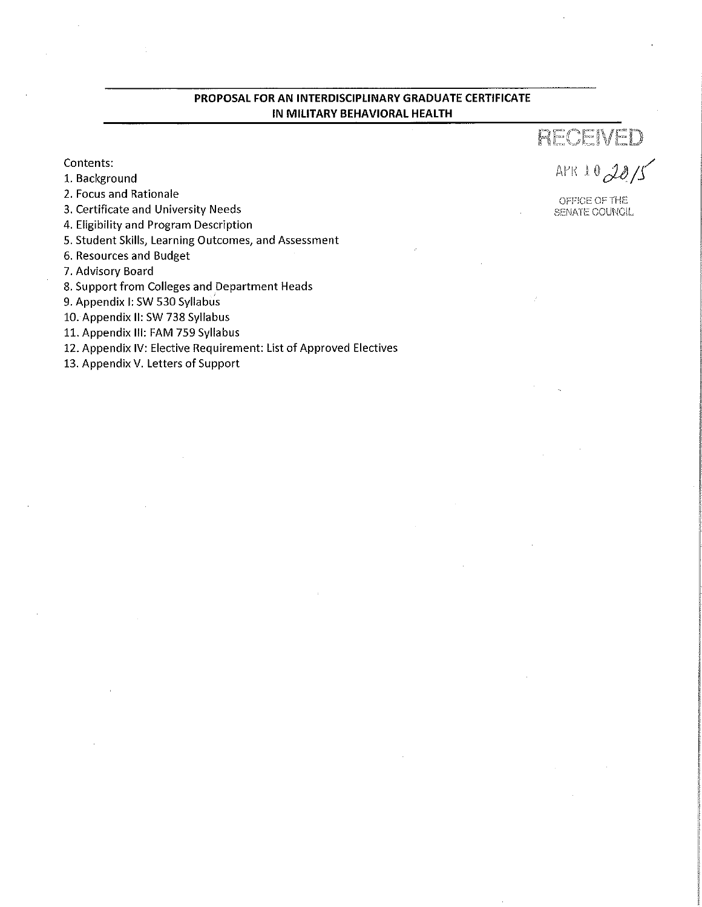#### PROPOSAL FOR AN INTERDISCIPLINARY GRADUATE CERTIFICATE IN MILITARY BEHAVIORAL HEALTH

Contents:

- 1. Background
- 2. Focus and Rationale
- 3. Certificate and University Needs
- 4. Eligibility and Program Description
- 5. Student Skills, Learning Outcomes, and Assessment
- 6. Resources and Budget
- 7. Advisory Board
- 8. Support from Colleges and Department Heads
- 9. Appendix I: SW 530 Syllabus
- 10. Appendix II: SW 738 Syllabus
- 11. Appendix III: FAM 759 Syllabus
- 12. Appendix IV: Elective Requirement: List of Approved Electives
- 13. Appendix V. Letters of Support

RECEIVED APR 10  $20/5$ 

OFFICE OF THE SENATE COUNCIL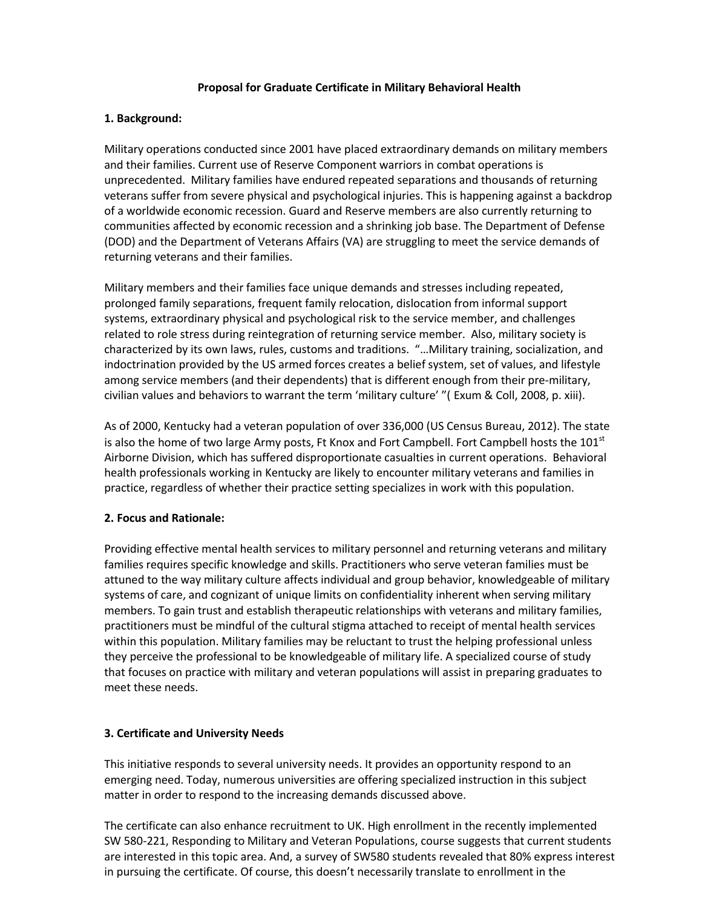#### **Proposal for Graduate Certificate in Military Behavioral Health**

#### **1. Background:**

Military operations conducted since 2001 have placed extraordinary demands on military members and their families. Current use of Reserve Component warriors in combat operations is unprecedented. Military families have endured repeated separations and thousands of returning veterans suffer from severe physical and psychological injuries. This is happening against a backdrop of a worldwide economic recession. Guard and Reserve members are also currently returning to communities affected by economic recession and a shrinking job base. The Department of Defense (DOD) and the Department of Veterans Affairs (VA) are struggling to meet the service demands of returning veterans and their families.

Military members and their families face unique demands and stresses including repeated, prolonged family separations, frequent family relocation, dislocation from informal support systems, extraordinary physical and psychological risk to the service member, and challenges related to role stress during reintegration of returning service member. Also, military society is characterized by its own laws, rules, customs and traditions. "…Military training, socialization, and indoctrination provided by the US armed forces creates a belief system, set of values, and lifestyle among service members (and their dependents) that is different enough from their pre-military, civilian values and behaviors to warrant the term 'military culture' "( Exum & Coll, 2008, p. xiii).

As of 2000, Kentucky had a veteran population of over 336,000 (US Census Bureau, 2012). The state is also the home of two large Army posts, Ft Knox and Fort Campbell. Fort Campbell hosts the  $101<sup>st</sup>$ Airborne Division, which has suffered disproportionate casualties in current operations. Behavioral health professionals working in Kentucky are likely to encounter military veterans and families in practice, regardless of whether their practice setting specializes in work with this population.

#### **2. Focus and Rationale:**

Providing effective mental health services to military personnel and returning veterans and military families requires specific knowledge and skills. Practitioners who serve veteran families must be attuned to the way military culture affects individual and group behavior, knowledgeable of military systems of care, and cognizant of unique limits on confidentiality inherent when serving military members. To gain trust and establish therapeutic relationships with veterans and military families, practitioners must be mindful of the cultural stigma attached to receipt of mental health services within this population. Military families may be reluctant to trust the helping professional unless they perceive the professional to be knowledgeable of military life. A specialized course of study that focuses on practice with military and veteran populations will assist in preparing graduates to meet these needs.

#### **3. Certificate and University Needs**

This initiative responds to several university needs. It provides an opportunity respond to an emerging need. Today, numerous universities are offering specialized instruction in this subject matter in order to respond to the increasing demands discussed above.

The certificate can also enhance recruitment to UK. High enrollment in the recently implemented SW 580‐221, Responding to Military and Veteran Populations, course suggests that current students are interested in this topic area. And, a survey of SW580 students revealed that 80% express interest in pursuing the certificate. Of course, this doesn't necessarily translate to enrollment in the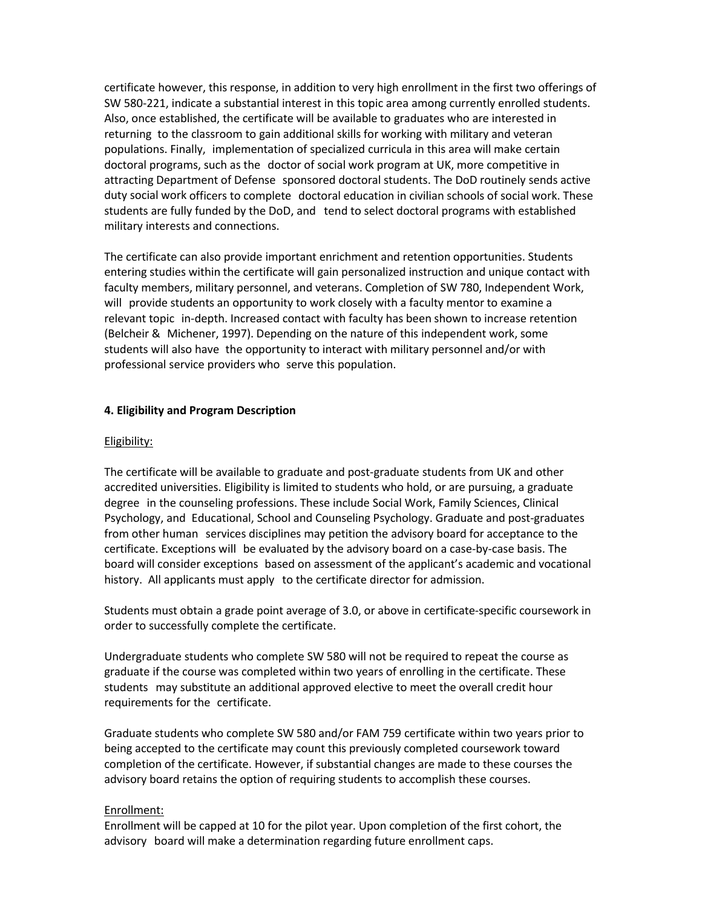certificate however, this response, in addition to very high enrollment in the first two offerings of SW 580‐221, indicate a substantial interest in this topic area among currently enrolled students. Also, once established, the certificate will be available to graduates who are interested in returning to the classroom to gain additional skills for working with military and veteran populations. Finally, implementation of specialized curricula in this area will make certain doctoral programs, such as the doctor of social work program at UK, more competitive in attracting Department of Defense sponsored doctoral students. The DoD routinely sends active duty social work officers to complete doctoral education in civilian schools of social work. These students are fully funded by the DoD, and tend to select doctoral programs with established military interests and connections.

The certificate can also provide important enrichment and retention opportunities. Students entering studies within the certificate will gain personalized instruction and unique contact with faculty members, military personnel, and veterans. Completion of SW 780, Independent Work, will provide students an opportunity to work closely with a faculty mentor to examine a relevant topic in‐depth. Increased contact with faculty has been shown to increase retention (Belcheir & Michener, 1997). Depending on the nature of this independent work, some students will also have the opportunity to interact with military personnel and/or with professional service providers who serve this population.

#### **4. Eligibility and Program Description**

#### Eligibility:

The certificate will be available to graduate and post‐graduate students from UK and other accredited universities. Eligibility is limited to students who hold, or are pursuing, a graduate degree in the counseling professions. These include Social Work, Family Sciences, Clinical Psychology, and Educational, School and Counseling Psychology. Graduate and post‐graduates from other human services disciplines may petition the advisory board for acceptance to the certificate. Exceptions will be evaluated by the advisory board on a case‐by‐case basis. The board will consider exceptions based on assessment of the applicant's academic and vocational history. All applicants must apply to the certificate director for admission.

Students must obtain a grade point average of 3.0, or above in certificate‐specific coursework in order to successfully complete the certificate.

Undergraduate students who complete SW 580 will not be required to repeat the course as graduate if the course was completed within two years of enrolling in the certificate. These students may substitute an additional approved elective to meet the overall credit hour requirements for the certificate.

Graduate students who complete SW 580 and/or FAM 759 certificate within two years prior to being accepted to the certificate may count this previously completed coursework toward completion of the certificate. However, if substantial changes are made to these courses the advisory board retains the option of requiring students to accomplish these courses.

#### Enrollment:

Enrollment will be capped at 10 for the pilot year. Upon completion of the first cohort, the advisory board will make a determination regarding future enrollment caps.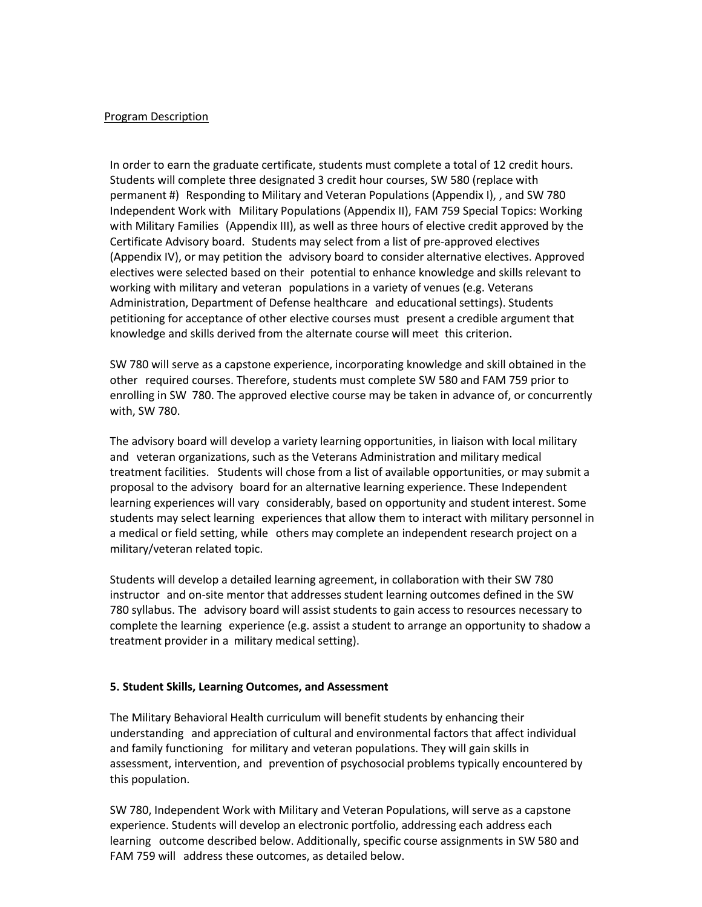#### Program Description

In order to earn the graduate certificate, students must complete a total of 12 credit hours. Students will complete three designated 3 credit hour courses, SW 580 (replace with permanent #) Responding to Military and Veteran Populations (Appendix I), , and SW 780 Independent Work with Military Populations (Appendix II), FAM 759 Special Topics: Working with Military Families (Appendix III), as well as three hours of elective credit approved by the Certificate Advisory board. Students may select from a list of pre‐approved electives (Appendix IV), or may petition the advisory board to consider alternative electives. Approved electives were selected based on their potential to enhance knowledge and skills relevant to working with military and veteran populations in a variety of venues (e.g. Veterans Administration, Department of Defense healthcare and educational settings). Students petitioning for acceptance of other elective courses must present a credible argument that knowledge and skills derived from the alternate course will meet this criterion.

SW 780 will serve as a capstone experience, incorporating knowledge and skill obtained in the other required courses. Therefore, students must complete SW 580 and FAM 759 prior to enrolling in SW 780. The approved elective course may be taken in advance of, or concurrently with, SW 780.

The advisory board will develop a variety learning opportunities, in liaison with local military and veteran organizations, such as the Veterans Administration and military medical treatment facilities. Students will chose from a list of available opportunities, or may submit a proposal to the advisory board for an alternative learning experience. These Independent learning experiences will vary considerably, based on opportunity and student interest. Some students may select learning experiences that allow them to interact with military personnel in a medical or field setting, while others may complete an independent research project on a military/veteran related topic.

Students will develop a detailed learning agreement, in collaboration with their SW 780 instructor and on‐site mentor that addresses student learning outcomes defined in the SW 780 syllabus. The advisory board will assist students to gain access to resources necessary to complete the learning experience (e.g. assist a student to arrange an opportunity to shadow a treatment provider in a military medical setting).

#### **5. Student Skills, Learning Outcomes, and Assessment**

The Military Behavioral Health curriculum will benefit students by enhancing their understanding and appreciation of cultural and environmental factors that affect individual and family functioning for military and veteran populations. They will gain skills in assessment, intervention, and prevention of psychosocial problems typically encountered by this population.

SW 780, Independent Work with Military and Veteran Populations, will serve as a capstone experience. Students will develop an electronic portfolio, addressing each address each learning outcome described below. Additionally, specific course assignments in SW 580 and FAM 759 will address these outcomes, as detailed below.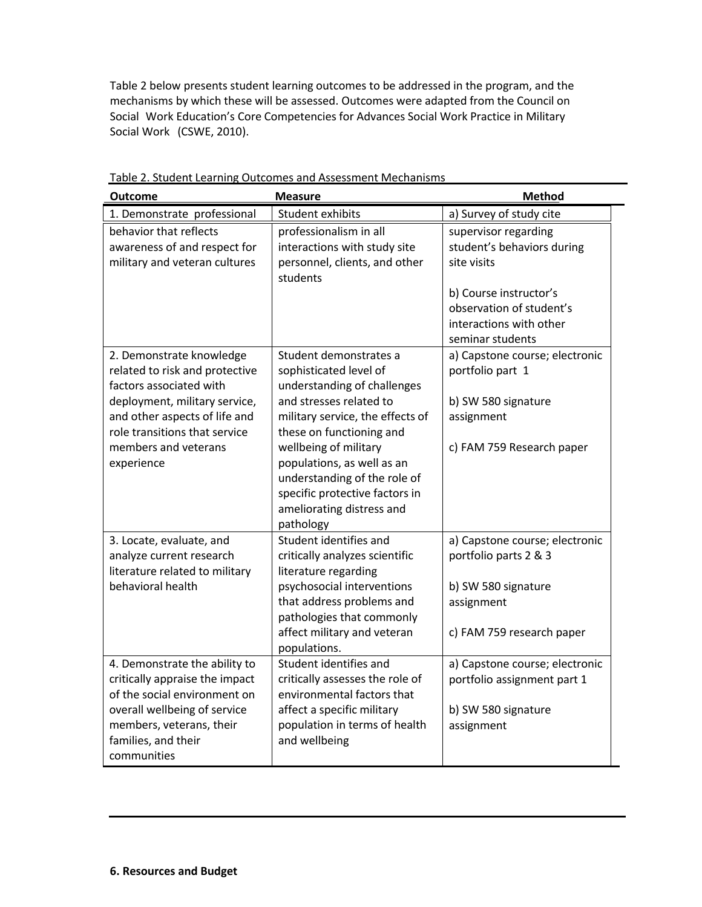Table 2 below presents student learning outcomes to be addressed in the program, and the mechanisms by which these will be assessed. Outcomes were adapted from the Council on Social Work Education's Core Competencies for Advances Social Work Practice in Military Social Work (CSWE, 2010).

| <b>Outcome</b>                                                                                                                                                                                                                 | <b>Measure</b>                                                                                                                                                                                                                                                                                                                                | <b>Method</b>                                                                                                                                                          |  |
|--------------------------------------------------------------------------------------------------------------------------------------------------------------------------------------------------------------------------------|-----------------------------------------------------------------------------------------------------------------------------------------------------------------------------------------------------------------------------------------------------------------------------------------------------------------------------------------------|------------------------------------------------------------------------------------------------------------------------------------------------------------------------|--|
| 1. Demonstrate professional                                                                                                                                                                                                    | Student exhibits                                                                                                                                                                                                                                                                                                                              | a) Survey of study cite                                                                                                                                                |  |
| behavior that reflects<br>awareness of and respect for<br>military and veteran cultures                                                                                                                                        | professionalism in all<br>interactions with study site<br>personnel, clients, and other<br>students                                                                                                                                                                                                                                           | supervisor regarding<br>student's behaviors during<br>site visits<br>b) Course instructor's<br>observation of student's<br>interactions with other<br>seminar students |  |
| 2. Demonstrate knowledge<br>related to risk and protective<br>factors associated with<br>deployment, military service,<br>and other aspects of life and<br>role transitions that service<br>members and veterans<br>experience | Student demonstrates a<br>sophisticated level of<br>understanding of challenges<br>and stresses related to<br>military service, the effects of<br>these on functioning and<br>wellbeing of military<br>populations, as well as an<br>understanding of the role of<br>specific protective factors in<br>ameliorating distress and<br>pathology | a) Capstone course; electronic<br>portfolio part 1<br>b) SW 580 signature<br>assignment<br>c) FAM 759 Research paper                                                   |  |
| 3. Locate, evaluate, and<br>analyze current research<br>literature related to military<br>behavioral health                                                                                                                    | Student identifies and<br>critically analyzes scientific<br>literature regarding<br>psychosocial interventions<br>that address problems and<br>pathologies that commonly<br>affect military and veteran<br>populations.                                                                                                                       | a) Capstone course; electronic<br>portfolio parts 2 & 3<br>b) SW 580 signature<br>assignment<br>c) FAM 759 research paper                                              |  |
| 4. Demonstrate the ability to<br>critically appraise the impact<br>of the social environment on<br>overall wellbeing of service<br>members, veterans, their<br>families, and their<br>communities                              | Student identifies and<br>critically assesses the role of<br>environmental factors that<br>affect a specific military<br>population in terms of health<br>and wellbeing                                                                                                                                                                       | a) Capstone course; electronic<br>portfolio assignment part 1<br>b) SW 580 signature<br>assignment                                                                     |  |

Table 2. Student Learning Outcomes and Assessment Mechanisms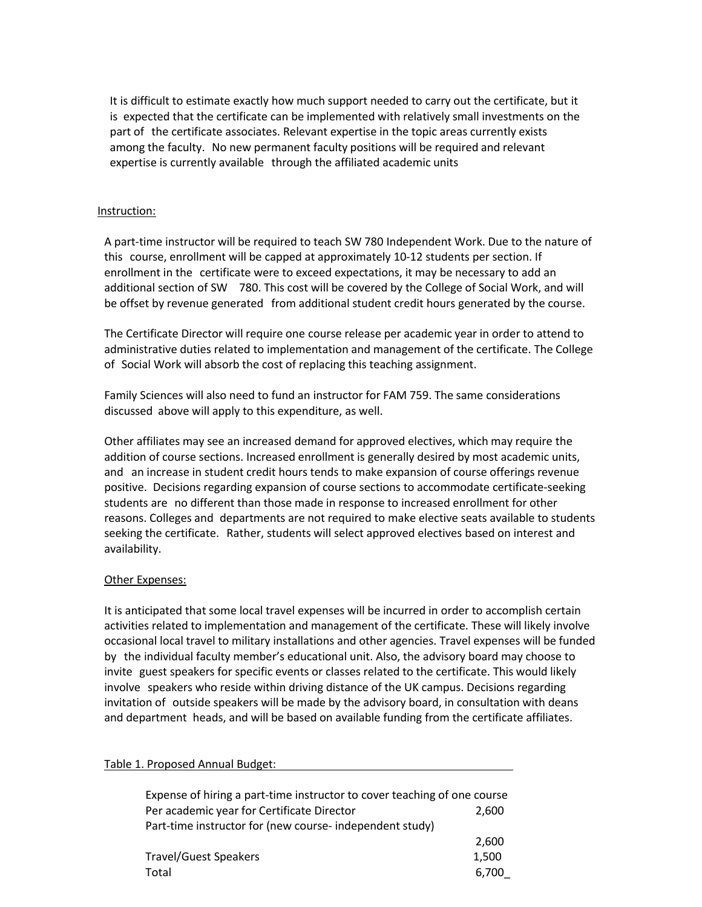It is difficult to estimate exactly how much support needed to carry out the certificate, but it is expected that the certificate can be implemented with relatively small investments on the part of the certificate associates. Relevant expertise in the topic areas currently exists among the faculty. No new permanent faculty positions will be required and relevant expertise is currently available through the affiliated academic units

#### Instruction:

A part‐time instructor will be required to teach SW 780 Independent Work. Due to the nature of this course, enrollment will be capped at approximately 10‐12 students per section. If enrollment in the certificate were to exceed expectations, it may be necessary to add an additional section of SW 780. This cost will be covered by the College of Social Work, and will be offset by revenue generated from additional student credit hours generated by the course.

The Certificate Director will require one course release per academic year in order to attend to administrative duties related to implementation and management of the certificate. The College of Social Work will absorb the cost of replacing this teaching assignment.

Family Sciences will also need to fund an instructor for FAM 759. The same considerations discussed above will apply to this expenditure, as well.

Other affiliates may see an increased demand for approved electives, which may require the addition of course sections. Increased enrollment is generally desired by most academic units, and an increase in student credit hours tends to make expansion of course offerings revenue positive. Decisions regarding expansion of course sections to accommodate certificate‐seeking students are no different than those made in response to increased enrollment for other reasons. Colleges and departments are not required to make elective seats available to students seeking the certificate. Rather, students will select approved electives based on interest and availability.

#### Other Expenses:

It is anticipated that some local travel expenses will be incurred in order to accomplish certain activities related to implementation and management of the certificate. These will likely involve occasional local travel to military installations and other agencies. Travel expenses will be funded by the individual faculty member's educational unit. Also, the advisory board may choose to invite guest speakers for specific events or classes related to the certificate. This would likely involve speakers who reside within driving distance of the UK campus. Decisions regarding invitation of outside speakers will be made by the advisory board, in consultation with deans and department heads, and will be based on available funding from the certificate affiliates.

| Expense of hiring a part-time instructor to cover teaching of one course |       |
|--------------------------------------------------------------------------|-------|
| Per academic year for Certificate Director                               | 2,600 |
| Part-time instructor for (new course- independent study)                 |       |
|                                                                          | 2,600 |
| <b>Travel/Guest Speakers</b>                                             | 1,500 |
| Total                                                                    | 6,700 |

#### Table 1. Proposed Annual Budget: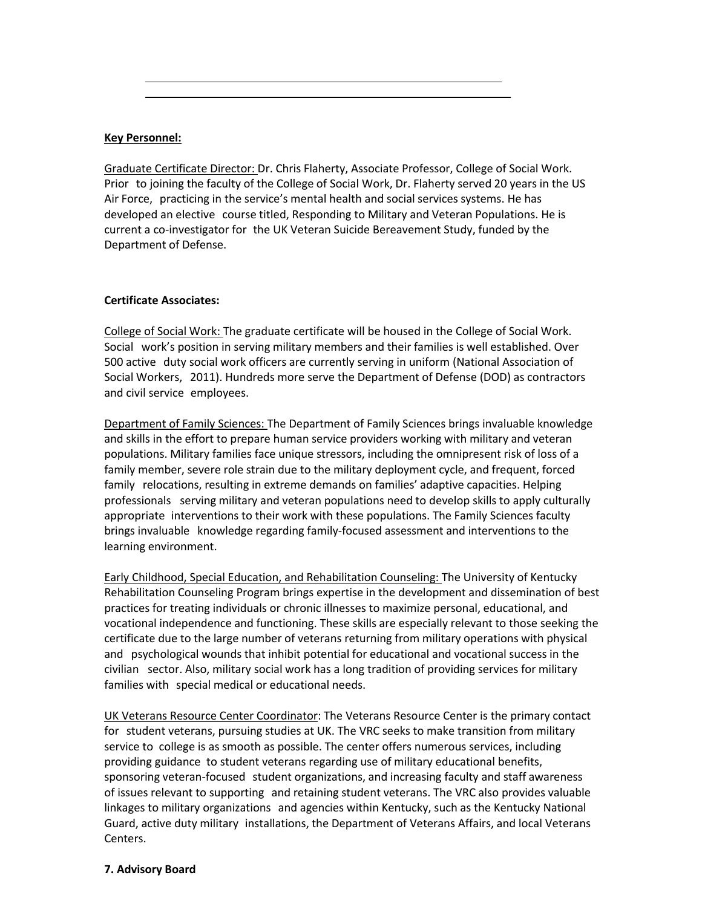#### **Key Personnel:**

Graduate Certificate Director: Dr. Chris Flaherty, Associate Professor, College of Social Work. Prior to joining the faculty of the College of Social Work, Dr. Flaherty served 20 years in the US Air Force, practicing in the service's mental health and social services systems. He has developed an elective course titled, Responding to Military and Veteran Populations. He is current a co‐investigator for the UK Veteran Suicide Bereavement Study, funded by the Department of Defense.

#### **Certificate Associates:**

College of Social Work: The graduate certificate will be housed in the College of Social Work. Social work's position in serving military members and their families is well established. Over 500 active duty social work officers are currently serving in uniform (National Association of Social Workers, 2011). Hundreds more serve the Department of Defense (DOD) as contractors and civil service employees.

Department of Family Sciences: The Department of Family Sciences brings invaluable knowledge and skills in the effort to prepare human service providers working with military and veteran populations. Military families face unique stressors, including the omnipresent risk of loss of a family member, severe role strain due to the military deployment cycle, and frequent, forced family relocations, resulting in extreme demands on families' adaptive capacities. Helping professionals serving military and veteran populations need to develop skills to apply culturally appropriate interventions to their work with these populations. The Family Sciences faculty brings invaluable knowledge regarding family‐focused assessment and interventions to the learning environment.

Early Childhood, Special Education, and Rehabilitation Counseling: The University of Kentucky Rehabilitation Counseling Program brings expertise in the development and dissemination of best practices for treating individuals or chronic illnesses to maximize personal, educational, and vocational independence and functioning. These skills are especially relevant to those seeking the certificate due to the large number of veterans returning from military operations with physical and psychological wounds that inhibit potential for educational and vocational success in the civilian sector. Also, military social work has a long tradition of providing services for military families with special medical or educational needs.

UK Veterans Resource Center Coordinator: The Veterans Resource Center is the primary contact for student veterans, pursuing studies at UK. The VRC seeks to make transition from military service to college is as smooth as possible. The center offers numerous services, including providing guidance to student veterans regarding use of military educational benefits, sponsoring veteran-focused student organizations, and increasing faculty and staff awareness of issues relevant to supporting and retaining student veterans. The VRC also provides valuable linkages to military organizations and agencies within Kentucky, such as the Kentucky National Guard, active duty military installations, the Department of Veterans Affairs, and local Veterans Centers.

#### **7. Advisory Board**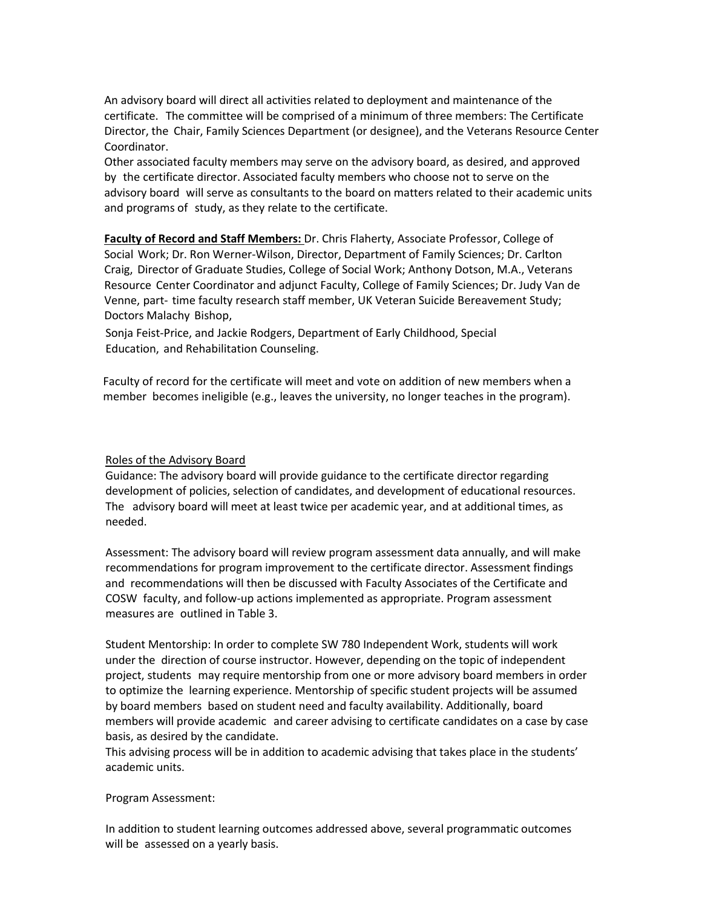An advisory board will direct all activities related to deployment and maintenance of the certificate. The committee will be comprised of a minimum of three members: The Certificate Director, the Chair, Family Sciences Department (or designee), and the Veterans Resource Center Coordinator.

Other associated faculty members may serve on the advisory board, as desired, and approved by the certificate director. Associated faculty members who choose not to serve on the advisory board will serve as consultants to the board on matters related to their academic units and programs of study, as they relate to the certificate.

**Faculty of Record and Staff Members:** Dr. Chris Flaherty, Associate Professor, College of Social Work; Dr. Ron Werner‐Wilson, Director, Department of Family Sciences; Dr. Carlton Craig, Director of Graduate Studies, College of Social Work; Anthony Dotson, M.A., Veterans Resource Center Coordinator and adjunct Faculty, College of Family Sciences; Dr. Judy Van de Venne, part‐ time faculty research staff member, UK Veteran Suicide Bereavement Study; Doctors Malachy Bishop,

Sonja Feist‐Price, and Jackie Rodgers, Department of Early Childhood, Special Education, and Rehabilitation Counseling.

 Faculty of record for the certificate will meet and vote on addition of new members when a member becomes ineligible (e.g., leaves the university, no longer teaches in the program).

#### Roles of the Advisory Board

Guidance: The advisory board will provide guidance to the certificate director regarding development of policies, selection of candidates, and development of educational resources. The advisory board will meet at least twice per academic year, and at additional times, as needed.

Assessment: The advisory board will review program assessment data annually, and will make recommendations for program improvement to the certificate director. Assessment findings and recommendations will then be discussed with Faculty Associates of the Certificate and COSW faculty, and follow‐up actions implemented as appropriate. Program assessment measures are outlined in Table 3.

Student Mentorship: In order to complete SW 780 Independent Work, students will work under the direction of course instructor. However, depending on the topic of independent project, students may require mentorship from one or more advisory board members in order to optimize the learning experience. Mentorship of specific student projects will be assumed by board members based on student need and faculty availability. Additionally, board members will provide academic and career advising to certificate candidates on a case by case basis, as desired by the candidate.

This advising process will be in addition to academic advising that takes place in the students' academic units.

#### Program Assessment:

In addition to student learning outcomes addressed above, several programmatic outcomes will be assessed on a yearly basis.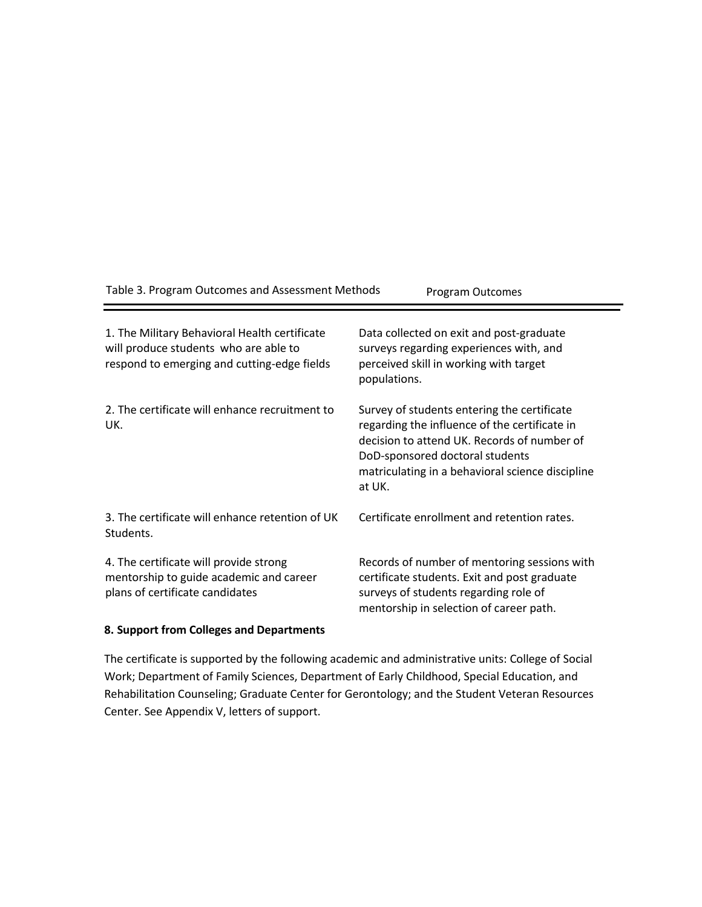| Table 3. Program Outcomes and Assessment Methods                                                                                      | Program Outcomes                                                                                                                                                                                                                             |
|---------------------------------------------------------------------------------------------------------------------------------------|----------------------------------------------------------------------------------------------------------------------------------------------------------------------------------------------------------------------------------------------|
| 1. The Military Behavioral Health certificate<br>will produce students who are able to<br>respond to emerging and cutting-edge fields | Data collected on exit and post-graduate<br>surveys regarding experiences with, and<br>perceived skill in working with target<br>populations.                                                                                                |
| 2. The certificate will enhance recruitment to<br>UK.                                                                                 | Survey of students entering the certificate<br>regarding the influence of the certificate in<br>decision to attend UK. Records of number of<br>DoD-sponsored doctoral students<br>matriculating in a behavioral science discipline<br>at UK. |
| 3. The certificate will enhance retention of UK<br>Students.                                                                          | Certificate enrollment and retention rates.                                                                                                                                                                                                  |
| 4. The certificate will provide strong<br>mentorship to guide academic and career<br>plans of certificate candidates                  | Records of number of mentoring sessions with<br>certificate students. Exit and post graduate<br>surveys of students regarding role of<br>mentorship in selection of career path.                                                             |

#### **8. Support from Colleges and Departments**

The certificate is supported by the following academic and administrative units: College of Social Work; Department of Family Sciences, Department of Early Childhood, Special Education, and Rehabilitation Counseling; Graduate Center for Gerontology; and the Student Veteran Resources Center. See Appendix V, letters of support.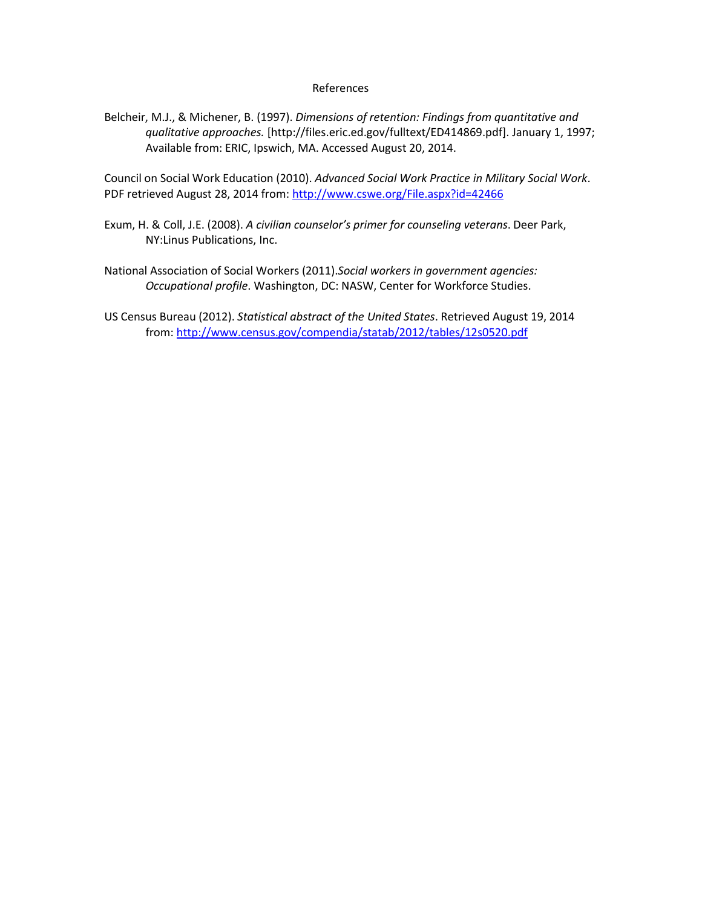#### References

Belcheir, M.J., & Michener, B. (1997). *Dimensions of retention: Findings from quantitative and qualitative approaches.* [http://files.eric.ed.gov/fulltext/ED414869.pdf]. January 1, 1997; Available from: ERIC, Ipswich, MA. Accessed August 20, 2014.

Council on Social Work Education (2010). *Advanced Social Work Practice in Military Social Work*. PDF retrieved August 28, 2014 from: http://www.cswe.org/File.aspx?id=42466

- Exum, H. & Coll, J.E. (2008). *A civilian counselor's primer for counseling veterans*. Deer Park, NY:Linus Publications, Inc.
- National Association of Social Workers (2011).*Social workers in government agencies: Occupational profile*. Washington, DC: NASW, Center for Workforce Studies.
- US Census Bureau (2012). *Statistical abstract of the United States*. Retrieved August 19, 2014 from: http://www.census.gov/compendia/statab/2012/tables/12s0520.pdf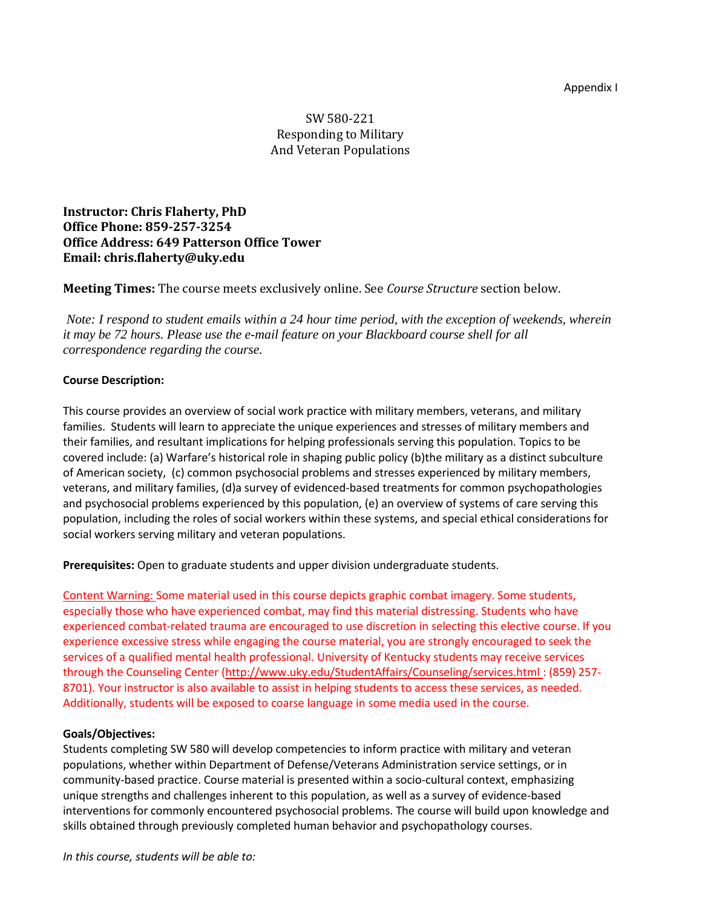#### Appendix I

# SW 580‐221 Responding to Military And Veteran Populations

**Instructor: Chris Flaherty, PhD Office Phone: 859‐257‐3254 Office Address: 649 Patterson Office Tower Email: chris.flaherty@uky.edu**

**Meeting Times:** The course meets exclusively online. See *Course Structure* section below.

*Note: I respond to student emails within a 24 hour time period, with the exception of weekends, wherein it may be 72 hours. Please use the e-mail feature on your Blackboard course shell for all correspondence regarding the course.*

#### **Course Description:**

This course provides an overview of social work practice with military members, veterans, and military families. Students will learn to appreciate the unique experiences and stresses of military members and their families, and resultant implications for helping professionals serving this population. Topics to be covered include: (a) Warfare's historical role in shaping public policy (b)the military as a distinct subculture of American society, (c) common psychosocial problems and stresses experienced by military members, veterans, and military families, (d)a survey of evidenced-based treatments for common psychopathologies and psychosocial problems experienced by this population, (e) an overview of systems of care serving this population, including the roles of social workers within these systems, and special ethical considerations for social workers serving military and veteran populations.

**Prerequisites:** Open to graduate students and upper division undergraduate students.

Content Warning: Some material used in this course depicts graphic combat imagery. Some students, especially those who have experienced combat, may find this material distressing. Students who have experienced combat-related trauma are encouraged to use discretion in selecting this elective course. If you experience excessive stress while engaging the course material, you are strongly encouraged to seek the services of a qualified mental health professional. University of Kentucky students may receive services through the Counseling Center (http://www.uky.edu/StudentAffairs/Counseling/services.html : (859) 257-8701). Your instructor is also available to assist in helping students to access these services, as needed. Additionally, students will be exposed to coarse language in some media used in the course.

#### **Goals/Objectives:**

Students completing SW 580 will develop competencies to inform practice with military and veteran populations, whether within Department of Defense/Veterans Administration service settings, or in community-based practice. Course material is presented within a socio-cultural context, emphasizing unique strengths and challenges inherent to this population, as well as a survey of evidence‐based interventions for commonly encountered psychosocial problems. The course will build upon knowledge and skills obtained through previously completed human behavior and psychopathology courses.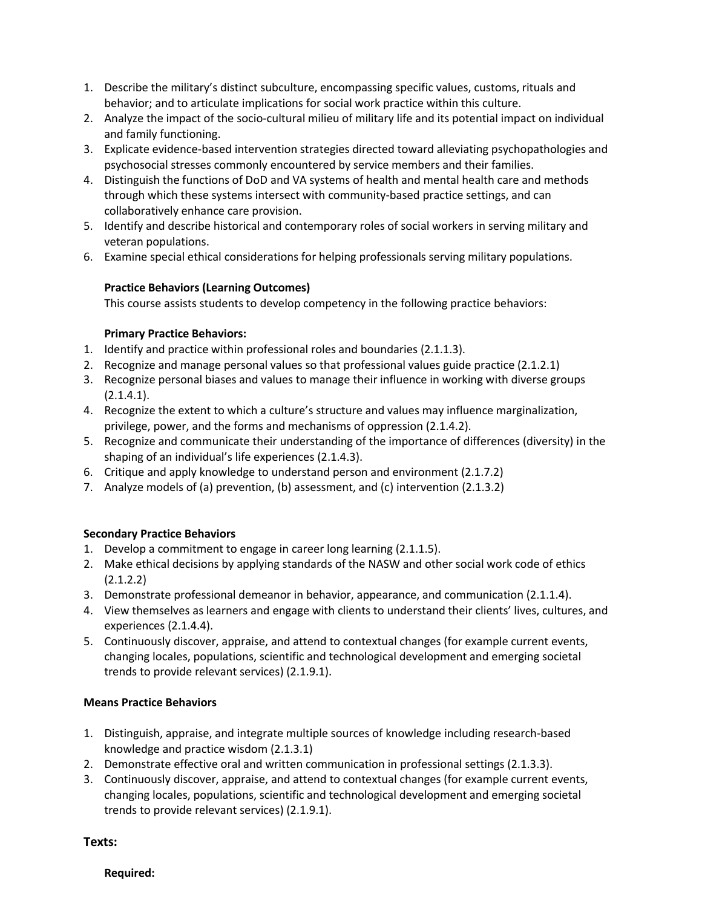- 1. Describe the military's distinct subculture, encompassing specific values, customs, rituals and behavior; and to articulate implications for social work practice within this culture.
- 2. Analyze the impact of the socio-cultural milieu of military life and its potential impact on individual and family functioning.
- 3. Explicate evidence‐based intervention strategies directed toward alleviating psychopathologies and psychosocial stresses commonly encountered by service members and their families.
- 4. Distinguish the functions of DoD and VA systems of health and mental health care and methods through which these systems intersect with community‐based practice settings, and can collaboratively enhance care provision.
- 5. Identify and describe historical and contemporary roles of social workers in serving military and veteran populations.
- 6. Examine special ethical considerations for helping professionals serving military populations.

#### **Practice Behaviors (Learning Outcomes)**

This course assists students to develop competency in the following practice behaviors:

#### **Primary Practice Behaviors:**

- 1. Identify and practice within professional roles and boundaries (2.1.1.3).
- 2. Recognize and manage personal values so that professional values guide practice (2.1.2.1)
- 3. Recognize personal biases and values to manage their influence in working with diverse groups (2.1.4.1).
- 4. Recognize the extent to which a culture's structure and values may influence marginalization, privilege, power, and the forms and mechanisms of oppression (2.1.4.2).
- 5. Recognize and communicate their understanding of the importance of differences (diversity) in the shaping of an individual's life experiences (2.1.4.3).
- 6. Critique and apply knowledge to understand person and environment (2.1.7.2)
- 7. Analyze models of (a) prevention, (b) assessment, and (c) intervention (2.1.3.2)

#### **Secondary Practice Behaviors**

- 1. Develop a commitment to engage in career long learning (2.1.1.5).
- 2. Make ethical decisions by applying standards of the NASW and other social work code of ethics  $(2.1.2.2)$
- 3. Demonstrate professional demeanor in behavior, appearance, and communication (2.1.1.4).
- 4. View themselves as learners and engage with clients to understand their clients' lives, cultures, and experiences (2.1.4.4).
- 5. Continuously discover, appraise, and attend to contextual changes (for example current events, changing locales, populations, scientific and technological development and emerging societal trends to provide relevant services) (2.1.9.1).

#### **Means Practice Behaviors**

- 1. Distinguish, appraise, and integrate multiple sources of knowledge including research‐based knowledge and practice wisdom (2.1.3.1)
- 2. Demonstrate effective oral and written communication in professional settings (2.1.3.3).
- 3. Continuously discover, appraise, and attend to contextual changes (for example current events, changing locales, populations, scientific and technological development and emerging societal trends to provide relevant services) (2.1.9.1).

#### **Texts:**

#### **Required:**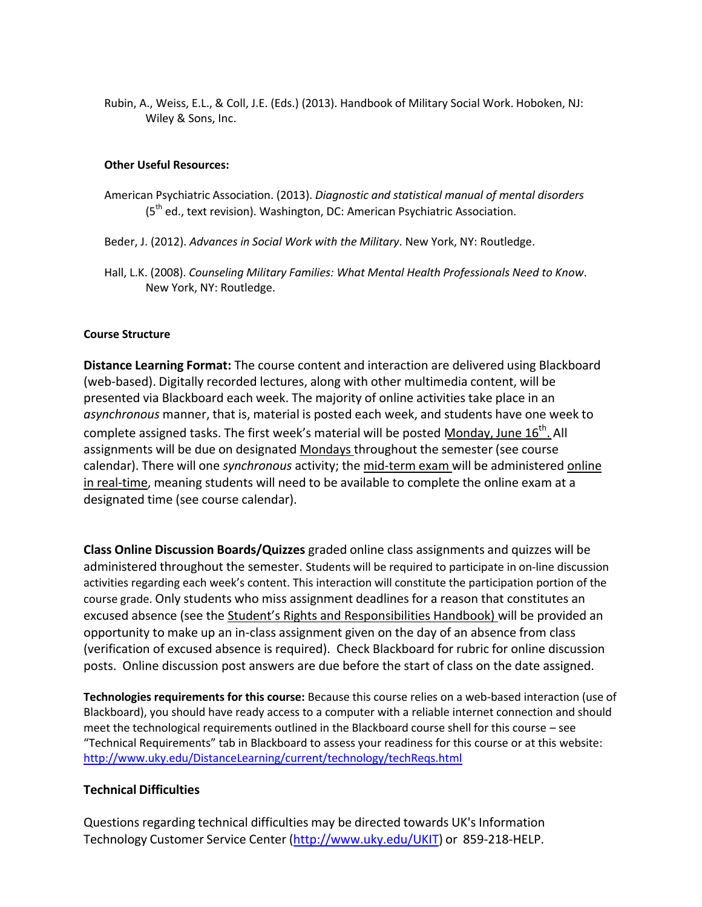Rubin, A., Weiss, E.L., & Coll, J.E. (Eds.) (2013). Handbook of Military Social Work. Hoboken, NJ: Wiley & Sons, Inc.

#### **Other Useful Resources:**

- American Psychiatric Association. (2013). *Diagnostic and statistical manual of mental disorders* (5<sup>th</sup> ed., text revision). Washington, DC: American Psychiatric Association.
- Beder, J. (2012). *Advances in Social Work with the Military*. New York, NY: Routledge.
- Hall, L.K. (2008). *Counseling Military Families: What Mental Health Professionals Need to Know*. New York, NY: Routledge.

#### **Course Structure**

**Distance Learning Format:** The course content and interaction are delivered using Blackboard (web‐based). Digitally recorded lectures, along with other multimedia content, will be presented via Blackboard each week. The majority of online activities take place in an *asynchronous* manner, that is, material is posted each week, and students have one week to complete assigned tasks. The first week's material will be posted Monday, June 16<sup>th</sup>. All assignments will be due on designated Mondays throughout the semester (see course calendar). There will one *synchronous* activity; the mid-term exam will be administered online in real-time, meaning students will need to be available to complete the online exam at a designated time (see course calendar).

**Class Online Discussion Boards/Quizzes** graded online class assignments and quizzes will be administered throughout the semester. Students will be required to participate in on-line discussion activities regarding each week's content. This interaction will constitute the participation portion of the course grade. Only students who miss assignment deadlines for a reason that constitutes an excused absence (see the Student's Rights and Responsibilities Handbook) will be provided an opportunity to make up an in‐class assignment given on the day of an absence from class (verification of excused absence is required). Check Blackboard for rubric for online discussion posts. Online discussion post answers are due before the start of class on the date assigned.

**Technologies requirements for this course:** Because this course relies on a web‐based interaction (use of Blackboard), you should have ready access to a computer with a reliable internet connection and should meet the technological requirements outlined in the Blackboard course shell for this course – see "Technical Requirements" tab in Blackboard to assess your readiness for this course or at this website: http://www.uky.edu/DistanceLearning/current/technology/techReqs.html

#### **Technical Difficulties**

Questions regarding technical difficulties may be directed towards UK's Information Technology Customer Service Center (http://www.uky.edu/UKIT) or 859‐218‐HELP.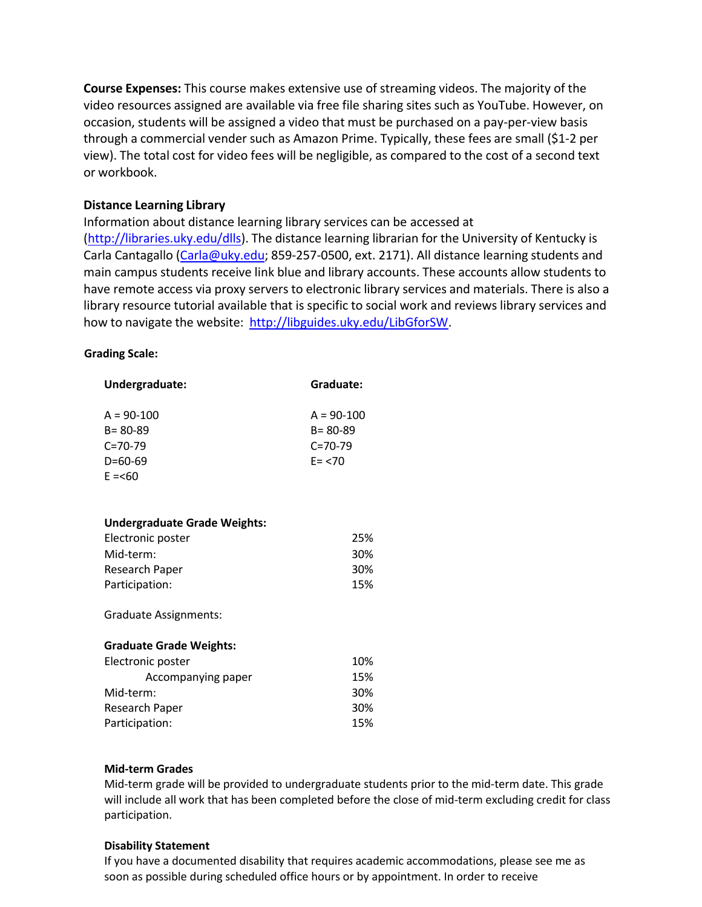**Course Expenses:** This course makes extensive use of streaming videos. The majority of the video resources assigned are available via free file sharing sites such as YouTube. However, on occasion, students will be assigned a video that must be purchased on a pay‐per‐view basis through a commercial vender such as Amazon Prime. Typically, these fees are small (\$1‐2 per view). The total cost for video fees will be negligible, as compared to the cost of a second text or workbook.

# **Distance Learning Library**

Information about distance learning library services can be accessed at (http://libraries.uky.edu/dlls). The distance learning librarian for the University of Kentucky is Carla Cantagallo (Carla@uky.edu; 859-257-0500, ext. 2171). All distance learning students and main campus students receive link blue and library accounts. These accounts allow students to have remote access via proxy servers to electronic library services and materials. There is also a library resource tutorial available that is specific to social work and reviews library services and how to navigate the website: http://libguides.uky.edu/LibGforSW.

#### **Grading Scale:**

| Undergraduate:                      | Graduate:                     |
|-------------------------------------|-------------------------------|
| $A = 90-100$<br>$B = 80 - 89$       | $A = 90-100$<br>$B = 80 - 89$ |
| $C = 70 - 79$                       | $C = 70 - 79$                 |
| $D=60-69$                           | $E = 70$                      |
| $E = 60$                            |                               |
|                                     |                               |
| <b>Undergraduate Grade Weights:</b> |                               |
| Electronic poster                   | 25%                           |
| Mid-term:                           | 30%                           |
| Research Paper                      | 30%                           |
| Participation:                      | 15%                           |
| <b>Graduate Assignments:</b>        |                               |
| <b>Graduate Grade Weights:</b>      |                               |
| Electronic poster                   | 10%                           |
| Accompanying paper                  | 15%                           |
| Mid-term:                           | 30%                           |
| <b>Research Paper</b>               | 30%                           |
| Participation:                      | 15%                           |

#### **Mid‐term Grades**

Mid‐term grade will be provided to undergraduate students prior to the mid‐term date. This grade will include all work that has been completed before the close of mid-term excluding credit for class participation.

#### **Disability Statement**

If you have a documented disability that requires academic accommodations, please see me as soon as possible during scheduled office hours or by appointment. In order to receive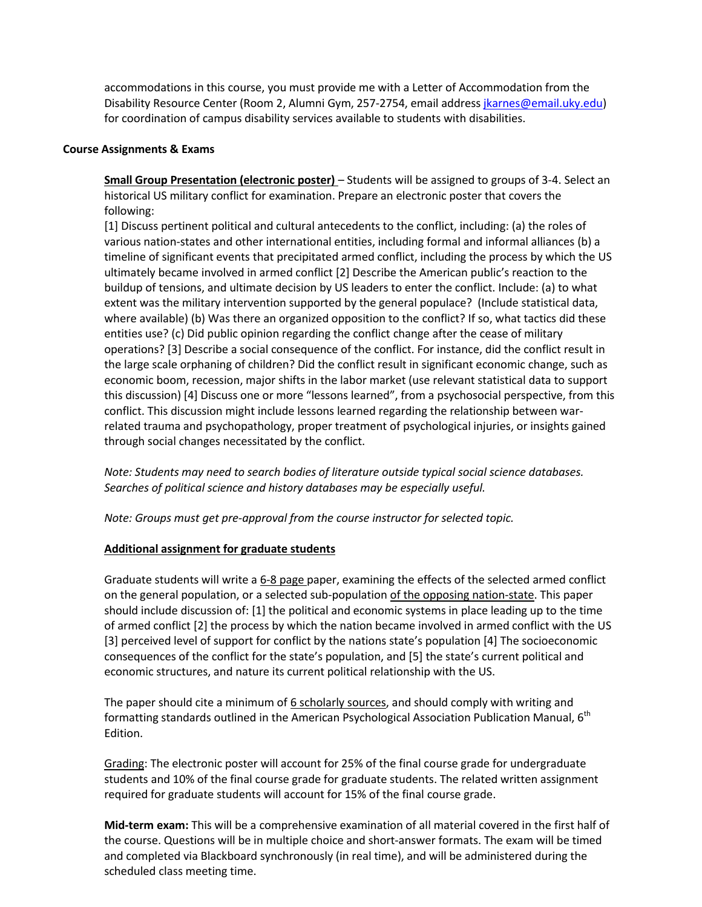accommodations in this course, you must provide me with a Letter of Accommodation from the Disability Resource Center (Room 2, Alumni Gym, 257-2754, email address jkarnes@email.uky.edu) for coordination of campus disability services available to students with disabilities.

#### **Course Assignments & Exams**

**Small Group Presentation (electronic poster)** – Students will be assigned to groups of 3‐4. Select an historical US military conflict for examination. Prepare an electronic poster that covers the following:

[1] Discuss pertinent political and cultural antecedents to the conflict, including: (a) the roles of various nation‐states and other international entities, including formal and informal alliances (b) a timeline of significant events that precipitated armed conflict, including the process by which the US ultimately became involved in armed conflict [2] Describe the American public's reaction to the buildup of tensions, and ultimate decision by US leaders to enter the conflict. Include: (a) to what extent was the military intervention supported by the general populace? (Include statistical data, where available) (b) Was there an organized opposition to the conflict? If so, what tactics did these entities use? (c) Did public opinion regarding the conflict change after the cease of military operations? [3] Describe a social consequence of the conflict. For instance, did the conflict result in the large scale orphaning of children? Did the conflict result in significant economic change, such as economic boom, recession, major shifts in the labor market (use relevant statistical data to support this discussion) [4] Discuss one or more "lessons learned", from a psychosocial perspective, from this conflict. This discussion might include lessons learned regarding the relationship between war‐ related trauma and psychopathology, proper treatment of psychological injuries, or insights gained through social changes necessitated by the conflict.

*Note: Students may need to search bodies of literature outside typical social science databases. Searches of political science and history databases may be especially useful.*

*Note: Groups must get pre‐approval from the course instructor for selected topic.*

#### **Additional assignment for graduate students**

Graduate students will write a 6-8 page paper, examining the effects of the selected armed conflict on the general population, or a selected sub‐population of the opposing nation‐state. This paper should include discussion of: [1] the political and economic systems in place leading up to the time of armed conflict [2] the process by which the nation became involved in armed conflict with the US [3] perceived level of support for conflict by the nations state's population [4] The socioeconomic consequences of the conflict for the state's population, and [5] the state's current political and economic structures, and nature its current political relationship with the US.

The paper should cite a minimum of  $6$  scholarly sources, and should comply with writing and formatting standards outlined in the American Psychological Association Publication Manual, 6<sup>th</sup> Edition.

Grading: The electronic poster will account for 25% of the final course grade for undergraduate students and 10% of the final course grade for graduate students. The related written assignment required for graduate students will account for 15% of the final course grade.

**Mid‐term exam:** This will be a comprehensive examination of all material covered in the first half of the course. Questions will be in multiple choice and short‐answer formats. The exam will be timed and completed via Blackboard synchronously (in real time), and will be administered during the scheduled class meeting time.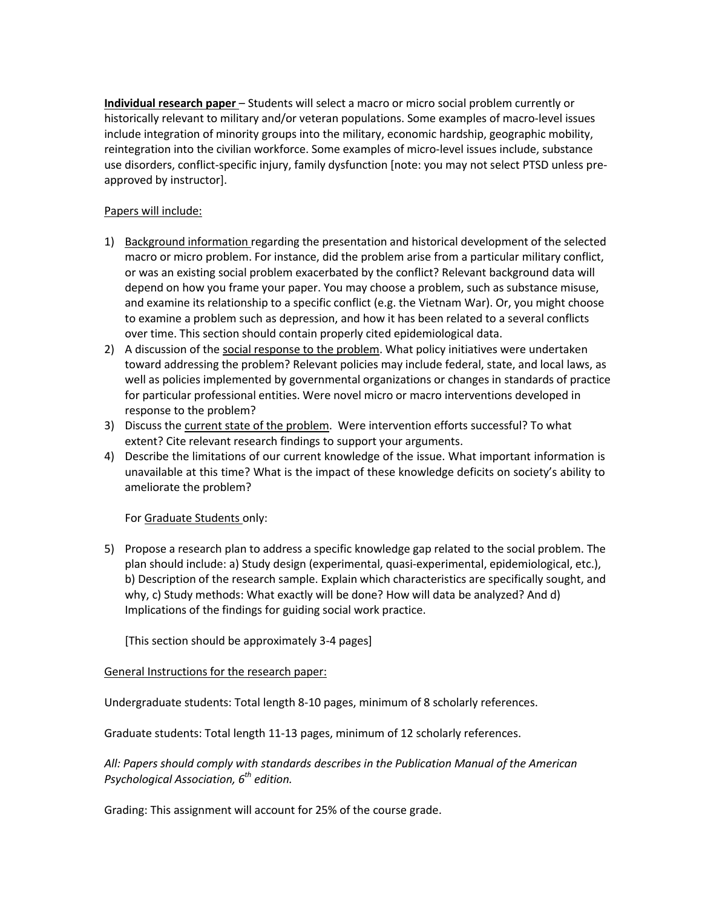**Individual research paper** – Students will select a macro or micro social problem currently or historically relevant to military and/or veteran populations. Some examples of macro-level issues include integration of minority groups into the military, economic hardship, geographic mobility, reintegration into the civilian workforce. Some examples of micro‐level issues include, substance use disorders, conflict‐specific injury, family dysfunction [note: you may not select PTSD unless pre‐ approved by instructor].

#### Papers will include:

- 1) Background information regarding the presentation and historical development of the selected macro or micro problem. For instance, did the problem arise from a particular military conflict, or was an existing social problem exacerbated by the conflict? Relevant background data will depend on how you frame your paper. You may choose a problem, such as substance misuse, and examine its relationship to a specific conflict (e.g. the Vietnam War). Or, you might choose to examine a problem such as depression, and how it has been related to a several conflicts over time. This section should contain properly cited epidemiological data.
- 2) A discussion of the social response to the problem. What policy initiatives were undertaken toward addressing the problem? Relevant policies may include federal, state, and local laws, as well as policies implemented by governmental organizations or changes in standards of practice for particular professional entities. Were novel micro or macro interventions developed in response to the problem?
- 3) Discuss the current state of the problem. Were intervention efforts successful? To what extent? Cite relevant research findings to support your arguments.
- 4) Describe the limitations of our current knowledge of the issue. What important information is unavailable at this time? What is the impact of these knowledge deficits on society's ability to ameliorate the problem?

For Graduate Students only:

5) Propose a research plan to address a specific knowledge gap related to the social problem. The plan should include: a) Study design (experimental, quasi‐experimental, epidemiological, etc.), b) Description of the research sample. Explain which characteristics are specifically sought, and why, c) Study methods: What exactly will be done? How will data be analyzed? And d) Implications of the findings for guiding social work practice.

[This section should be approximately 3‐4 pages]

#### General Instructions for the research paper:

Undergraduate students: Total length 8‐10 pages, minimum of 8 scholarly references.

Graduate students: Total length 11‐13 pages, minimum of 12 scholarly references.

*All: Papers should comply with standards describes in the Publication Manual of the American Psychological Association, 6th edition.*

Grading: This assignment will account for 25% of the course grade.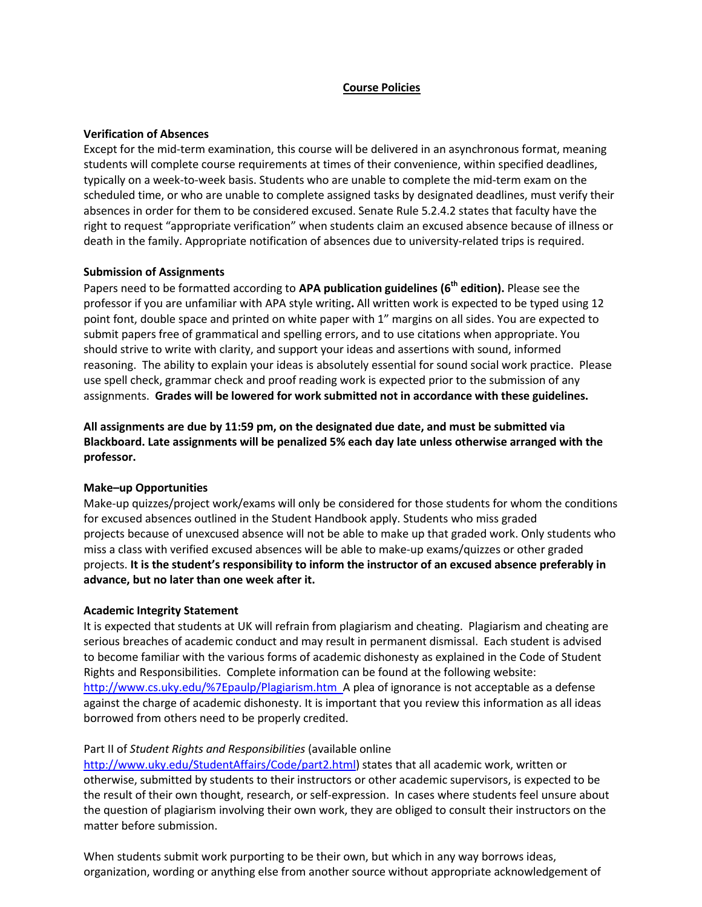#### **Course Policies**

#### **Verification of Absences**

Except for the mid-term examination, this course will be delivered in an asynchronous format, meaning students will complete course requirements at times of their convenience, within specified deadlines, typically on a week‐to‐week basis. Students who are unable to complete the mid‐term exam on the scheduled time, or who are unable to complete assigned tasks by designated deadlines, must verify their absences in order for them to be considered excused. Senate Rule 5.2.4.2 states that faculty have the right to request "appropriate verification" when students claim an excused absence because of illness or death in the family. Appropriate notification of absences due to university‐related trips is required.

#### **Submission of Assignments**

Papers need to be formatted according to **APA publication guidelines (6th edition).** Please see the professor if you are unfamiliar with APA style writing**.** All written work is expected to be typed using 12 point font, double space and printed on white paper with 1" margins on all sides. You are expected to submit papers free of grammatical and spelling errors, and to use citations when appropriate. You should strive to write with clarity, and support your ideas and assertions with sound, informed reasoning. The ability to explain your ideas is absolutely essential for sound social work practice. Please use spell check, grammar check and proof reading work is expected prior to the submission of any assignments. **Grades will be lowered for work submitted not in accordance with these guidelines.**

**All assignments are due by 11:59 pm, on the designated due date, and must be submitted via Blackboard. Late assignments will be penalized 5% each day late unless otherwise arranged with the professor.**

#### **Make–up Opportunities**

Make‐up quizzes/project work/exams will only be considered for those students for whom the conditions for excused absences outlined in the Student Handbook apply. Students who miss graded projects because of unexcused absence will not be able to make up that graded work. Only students who miss a class with verified excused absences will be able to make‐up exams/quizzes or other graded projects. **It is the student's responsibility to inform the instructor of an excused absence preferably in advance, but no later than one week after it.**

#### **Academic Integrity Statement**

It is expected that students at UK will refrain from plagiarism and cheating. Plagiarism and cheating are serious breaches of academic conduct and may result in permanent dismissal. Each student is advised to become familiar with the various forms of academic dishonesty as explained in the Code of Student Rights and Responsibilities. Complete information can be found at the following website: http://www.cs.uky.edu/%7Epaulp/Plagiarism.htm A plea of ignorance is not acceptable as a defense against the charge of academic dishonesty. It is important that you review this information as all ideas borrowed from others need to be properly credited.

#### Part II of *Student Rights and Responsibilities* (available online

http://www.uky.edu/StudentAffairs/Code/part2.html) states that all academic work, written or otherwise, submitted by students to their instructors or other academic supervisors, is expected to be the result of their own thought, research, or self‐expression. In cases where students feel unsure about the question of plagiarism involving their own work, they are obliged to consult their instructors on the matter before submission.

When students submit work purporting to be their own, but which in any way borrows ideas, organization, wording or anything else from another source without appropriate acknowledgement of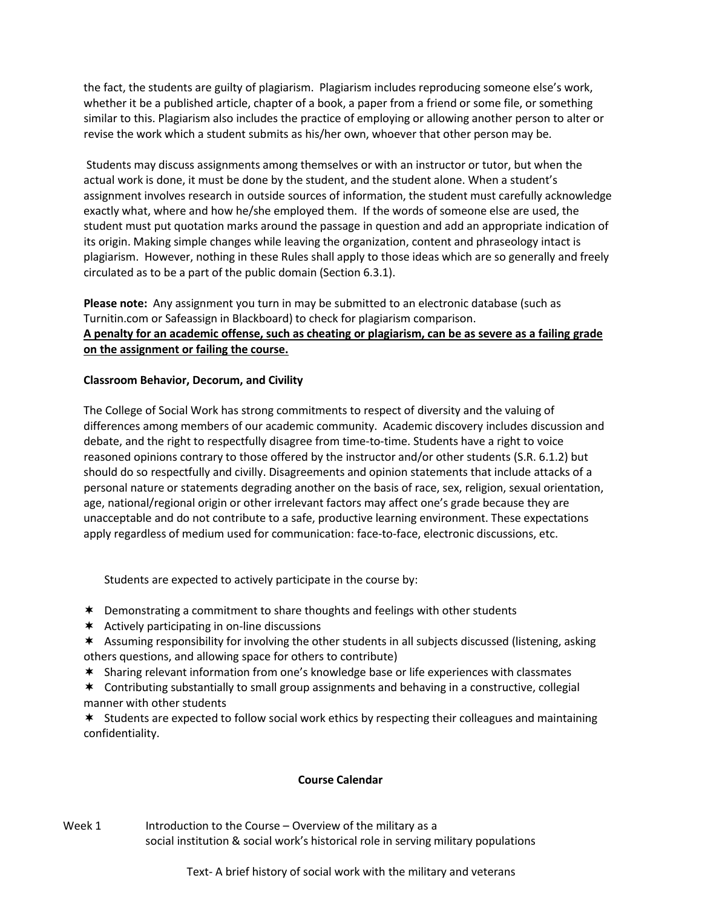the fact, the students are guilty of plagiarism. Plagiarism includes reproducing someone else's work, whether it be a published article, chapter of a book, a paper from a friend or some file, or something similar to this. Plagiarism also includes the practice of employing or allowing another person to alter or revise the work which a student submits as his/her own, whoever that other person may be.

Students may discuss assignments among themselves or with an instructor or tutor, but when the actual work is done, it must be done by the student, and the student alone. When a student's assignment involves research in outside sources of information, the student must carefully acknowledge exactly what, where and how he/she employed them. If the words of someone else are used, the student must put quotation marks around the passage in question and add an appropriate indication of its origin. Making simple changes while leaving the organization, content and phraseology intact is plagiarism. However, nothing in these Rules shall apply to those ideas which are so generally and freely circulated as to be a part of the public domain (Section 6.3.1).

**Please note:** Any assignment you turn in may be submitted to an electronic database (such as Turnitin.com or Safeassign in Blackboard) to check for plagiarism comparison. A penalty for an academic offense, such as cheating or plagiarism, can be as severe as a failing grade **on the assignment or failing the course.**

#### **Classroom Behavior, Decorum, and Civility**

The College of Social Work has strong commitments to respect of diversity and the valuing of differences among members of our academic community. Academic discovery includes discussion and debate, and the right to respectfully disagree from time-to-time. Students have a right to voice reasoned opinions contrary to those offered by the instructor and/or other students (S.R. 6.1.2) but should do so respectfully and civilly. Disagreements and opinion statements that include attacks of a personal nature or statements degrading another on the basis of race, sex, religion, sexual orientation, age, national/regional origin or other irrelevant factors may affect one's grade because they are unacceptable and do not contribute to a safe, productive learning environment. These expectations apply regardless of medium used for communication: face‐to‐face, electronic discussions, etc.

Students are expected to actively participate in the course by:

- Demonstrating a commitment to share thoughts and feelings with other students
- $*$  Actively participating in on-line discussions
- \* Assuming responsibility for involving the other students in all subjects discussed (listening, asking others questions, and allowing space for others to contribute)
- Sharing relevant information from one's knowledge base or life experiences with classmates
- Contributing substantially to small group assignments and behaving in a constructive, collegial manner with other students

 $*$  Students are expected to follow social work ethics by respecting their colleagues and maintaining confidentiality.

#### **Course Calendar**

Week  $1$  Introduction to the Course – Overview of the military as a social institution & social work's historical role in serving military populations

Text- A brief history of social work with the military and veterans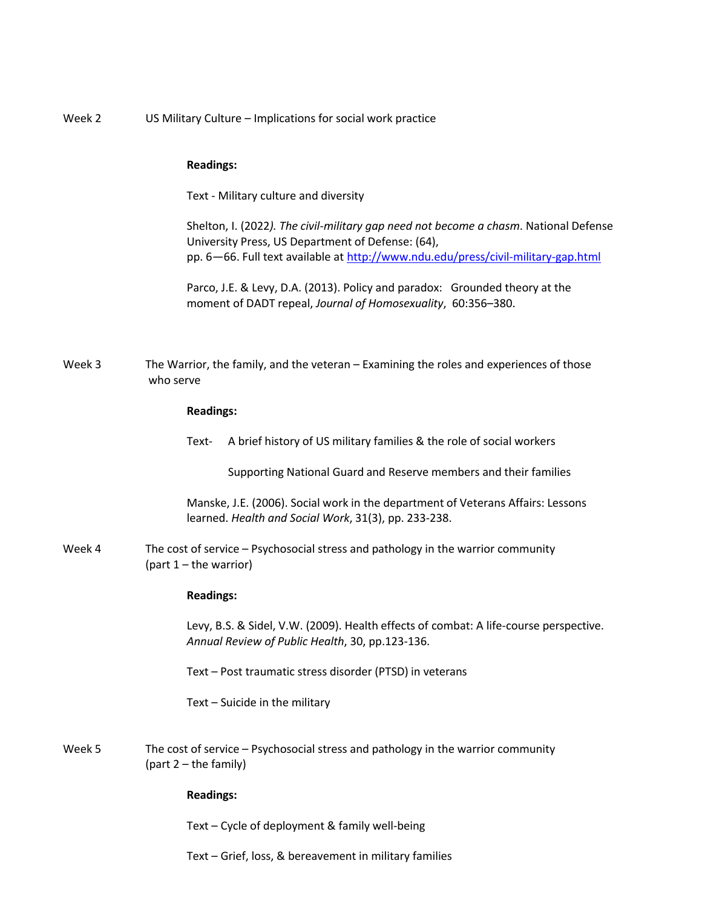| Week 2 | US Military Culture - Implications for social work practice                                                                                                                                                                    |
|--------|--------------------------------------------------------------------------------------------------------------------------------------------------------------------------------------------------------------------------------|
|        | <b>Readings:</b>                                                                                                                                                                                                               |
|        | Text - Military culture and diversity                                                                                                                                                                                          |
|        | Shelton, I. (2022). The civil-military gap need not become a chasm. National Defense<br>University Press, US Department of Defense: (64),<br>pp. 6-66. Full text available at http://www.ndu.edu/press/civil-military-gap.html |
|        | Parco, J.E. & Levy, D.A. (2013). Policy and paradox: Grounded theory at the<br>moment of DADT repeal, Journal of Homosexuality, 60:356-380.                                                                                    |
| Week 3 | The Warrior, the family, and the veteran - Examining the roles and experiences of those<br>who serve                                                                                                                           |
|        | <b>Readings:</b>                                                                                                                                                                                                               |
|        | A brief history of US military families & the role of social workers<br>Text-                                                                                                                                                  |
|        | Supporting National Guard and Reserve members and their families                                                                                                                                                               |
|        | Manske, J.E. (2006). Social work in the department of Veterans Affairs: Lessons<br>learned. Health and Social Work, 31(3), pp. 233-238.                                                                                        |
| Week 4 | The cost of service – Psychosocial stress and pathology in the warrior community<br>(part $1$ – the warrior)                                                                                                                   |
|        | <b>Readings:</b>                                                                                                                                                                                                               |
|        | Levy, B.S. & Sidel, V.W. (2009). Health effects of combat: A life-course perspective.<br>Annual Review of Public Health, 30, pp.123-136.                                                                                       |
|        | Text - Post traumatic stress disorder (PTSD) in veterans                                                                                                                                                                       |
|        | Text - Suicide in the military                                                                                                                                                                                                 |
| Week 5 | The cost of service - Psychosocial stress and pathology in the warrior community<br>(part 2 - the family)                                                                                                                      |
|        | <b>Readings:</b>                                                                                                                                                                                                               |
|        | Text - Cycle of deployment & family well-being                                                                                                                                                                                 |
|        | Text - Grief, loss, & bereavement in military families                                                                                                                                                                         |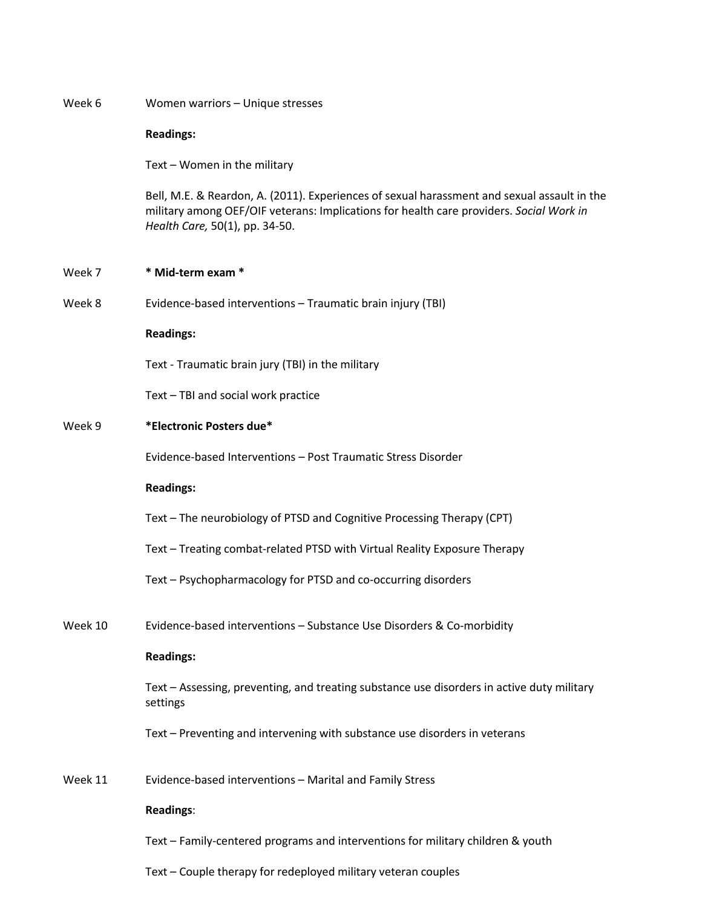| Week 6  | Women warriors - Unique stresses                                                                                                                                                                                         |
|---------|--------------------------------------------------------------------------------------------------------------------------------------------------------------------------------------------------------------------------|
|         | <b>Readings:</b>                                                                                                                                                                                                         |
|         | Text - Women in the military                                                                                                                                                                                             |
|         | Bell, M.E. & Reardon, A. (2011). Experiences of sexual harassment and sexual assault in the<br>military among OEF/OIF veterans: Implications for health care providers. Social Work in<br>Health Care, 50(1), pp. 34-50. |
| Week 7  | * Mid-term exam *                                                                                                                                                                                                        |
| Week 8  | Evidence-based interventions - Traumatic brain injury (TBI)                                                                                                                                                              |
|         | <b>Readings:</b>                                                                                                                                                                                                         |
|         | Text - Traumatic brain jury (TBI) in the military                                                                                                                                                                        |
|         | Text - TBI and social work practice                                                                                                                                                                                      |
| Week 9  | *Electronic Posters due*                                                                                                                                                                                                 |
|         | Evidence-based Interventions - Post Traumatic Stress Disorder                                                                                                                                                            |
|         | <b>Readings:</b>                                                                                                                                                                                                         |
|         | Text - The neurobiology of PTSD and Cognitive Processing Therapy (CPT)                                                                                                                                                   |
|         | Text - Treating combat-related PTSD with Virtual Reality Exposure Therapy                                                                                                                                                |
|         | Text - Psychopharmacology for PTSD and co-occurring disorders                                                                                                                                                            |
| Week 10 | Evidence-based interventions - Substance Use Disorders & Co-morbidity                                                                                                                                                    |
|         | <b>Readings:</b>                                                                                                                                                                                                         |
|         | Text - Assessing, preventing, and treating substance use disorders in active duty military<br>settings                                                                                                                   |
|         | Text - Preventing and intervening with substance use disorders in veterans                                                                                                                                               |
| Week 11 | Evidence-based interventions - Marital and Family Stress                                                                                                                                                                 |
|         | <b>Readings:</b>                                                                                                                                                                                                         |
|         | Text - Family-centered programs and interventions for military children & youth                                                                                                                                          |
|         | Text - Couple therapy for redeployed military veteran couples                                                                                                                                                            |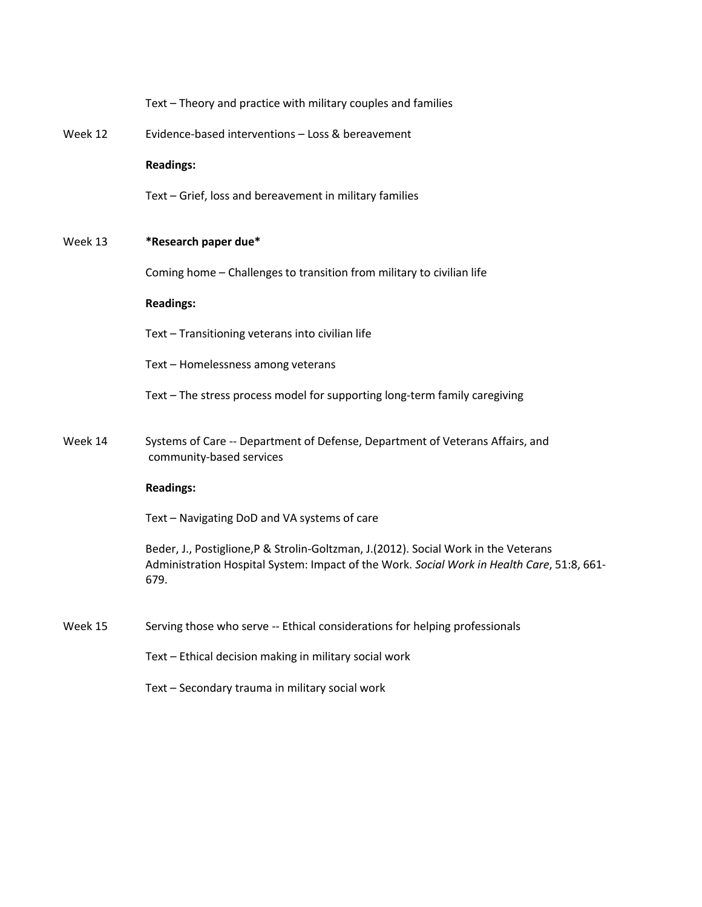|         | Text - Theory and practice with military couples and families                                                                                                                             |
|---------|-------------------------------------------------------------------------------------------------------------------------------------------------------------------------------------------|
| Week 12 | Evidence-based interventions - Loss & bereavement                                                                                                                                         |
|         | <b>Readings:</b>                                                                                                                                                                          |
|         | Text - Grief, loss and bereavement in military families                                                                                                                                   |
| Week 13 | *Research paper due*                                                                                                                                                                      |
|         | Coming home - Challenges to transition from military to civilian life                                                                                                                     |
|         | <b>Readings:</b>                                                                                                                                                                          |
|         | Text - Transitioning veterans into civilian life                                                                                                                                          |
|         | Text - Homelessness among veterans                                                                                                                                                        |
|         | Text - The stress process model for supporting long-term family caregiving                                                                                                                |
| Week 14 | Systems of Care -- Department of Defense, Department of Veterans Affairs, and<br>community-based services                                                                                 |
|         | <b>Readings:</b>                                                                                                                                                                          |
|         | Text - Navigating DoD and VA systems of care                                                                                                                                              |
|         | Beder, J., Postiglione, P & Strolin-Goltzman, J.(2012). Social Work in the Veterans<br>Administration Hospital System: Impact of the Work. Social Work in Health Care, 51:8, 661-<br>679. |
| Week 15 | Serving those who serve -- Ethical considerations for helping professionals                                                                                                               |
|         | Text - Ethical decision making in military social work                                                                                                                                    |
|         | Text - Secondary trauma in military social work                                                                                                                                           |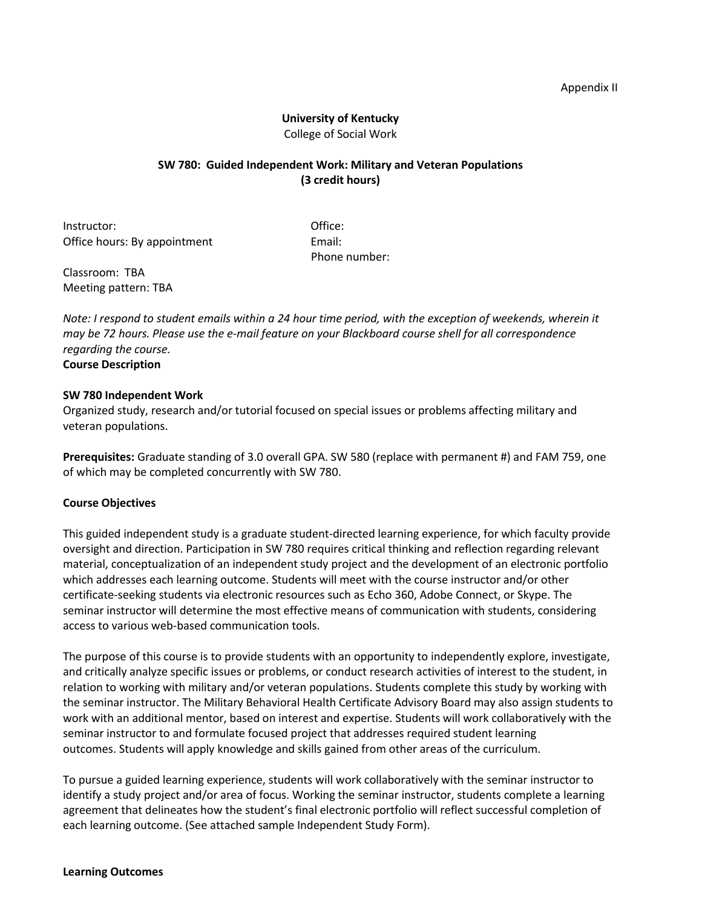#### Appendix II

#### **University of Kentucky** College of Social Work

#### **SW 780: Guided Independent Work: Military and Veteran Populations (3 credit hours)**

Instructor: and the contraction of the contraction of the contraction of the contraction of the contraction of the contraction of the contraction of the contraction of the contraction of the contraction of the contraction Office hours: By appointment Email:

Phone number:

Classroom: TBA Meeting pattern: TBA

Note: I respond to student emails within a 24 hour time period, with the exception of weekends, wherein it may be 72 hours. Please use the e-mail feature on your Blackboard course shell for all correspondence *regarding the course.* **Course Description**

# **SW 780 Independent Work**

Organized study, research and/or tutorial focused on special issues or problems affecting military and veteran populations.

**Prerequisites:** Graduate standing of 3.0 overall GPA. SW 580 (replace with permanent #) and FAM 759, one of which may be completed concurrently with SW 780.

#### **Course Objectives**

This guided independent study is a graduate student‐directed learning experience, for which faculty provide oversight and direction. Participation in SW 780 requires critical thinking and reflection regarding relevant material, conceptualization of an independent study project and the development of an electronic portfolio which addresses each learning outcome. Students will meet with the course instructor and/or other certificate‐seeking students via electronic resources such as Echo 360, Adobe Connect, or Skype. The seminar instructor will determine the most effective means of communication with students, considering access to various web‐based communication tools.

The purpose of this course is to provide students with an opportunity to independently explore, investigate, and critically analyze specific issues or problems, or conduct research activities of interest to the student, in relation to working with military and/or veteran populations. Students complete this study by working with the seminar instructor. The Military Behavioral Health Certificate Advisory Board may also assign students to work with an additional mentor, based on interest and expertise. Students will work collaboratively with the seminar instructor to and formulate focused project that addresses required student learning outcomes. Students will apply knowledge and skills gained from other areas of the curriculum.

To pursue a guided learning experience, students will work collaboratively with the seminar instructor to identify a study project and/or area of focus. Working the seminar instructor, students complete a learning agreement that delineates how the student's final electronic portfolio will reflect successful completion of each learning outcome. (See attached sample Independent Study Form).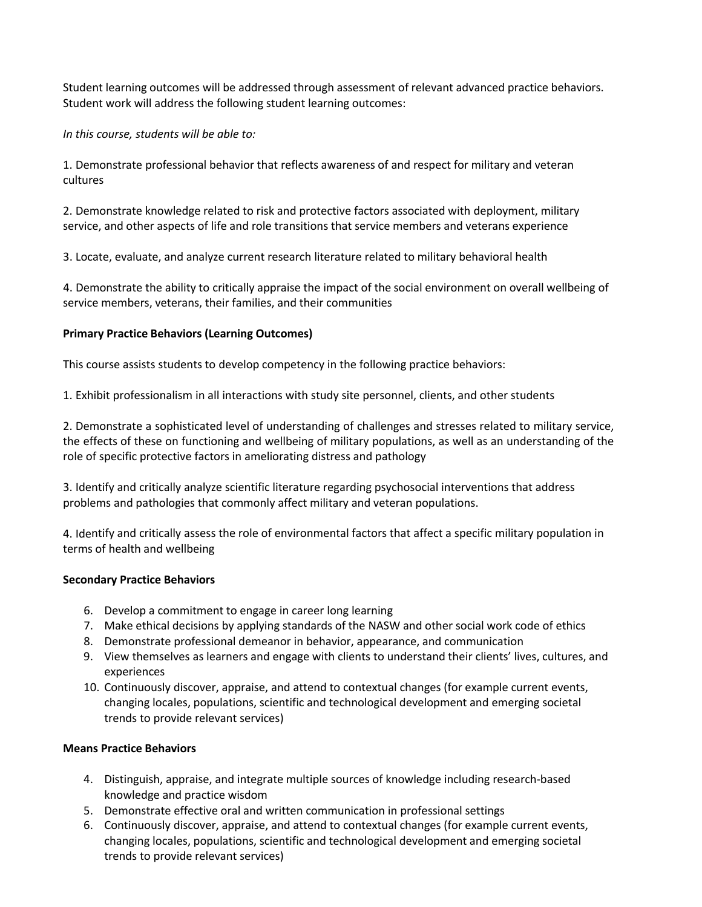Student learning outcomes will be addressed through assessment of relevant advanced practice behaviors. Student work will address the following student learning outcomes:

*In this course, students will be able to:*

1. Demonstrate professional behavior that reflects awareness of and respect for military and veteran cultures

2. Demonstrate knowledge related to risk and protective factors associated with deployment, military service, and other aspects of life and role transitions that service members and veterans experience

3. Locate, evaluate, and analyze current research literature related to military behavioral health

4. Demonstrate the ability to critically appraise the impact of the social environment on overall wellbeing of service members, veterans, their families, and their communities

#### **Primary Practice Behaviors (Learning Outcomes)**

This course assists students to develop competency in the following practice behaviors:

1. Exhibit professionalism in all interactions with study site personnel, clients, and other students

2. Demonstrate a sophisticated level of understanding of challenges and stresses related to military service, the effects of these on functioning and wellbeing of military populations, as well as an understanding of the role of specific protective factors in ameliorating distress and pathology

3. Identify and critically analyze scientific literature regarding psychosocial interventions that address problems and pathologies that commonly affect military and veteran populations.

4. Identify and critically assess the role of environmental factors that affect a specific military population in terms of health and wellbeing

#### **Secondary Practice Behaviors**

- 6. Develop a commitment to engage in career long learning
- 7. Make ethical decisions by applying standards of the NASW and other social work code of ethics
- 8. Demonstrate professional demeanor in behavior, appearance, and communication
- 9. View themselves as learners and engage with clients to understand their clients' lives, cultures, and experiences
- 10. Continuously discover, appraise, and attend to contextual changes (for example current events, changing locales, populations, scientific and technological development and emerging societal trends to provide relevant services)

#### **Means Practice Behaviors**

- 4. Distinguish, appraise, and integrate multiple sources of knowledge including research-based knowledge and practice wisdom
- 5. Demonstrate effective oral and written communication in professional settings
- 6. Continuously discover, appraise, and attend to contextual changes (for example current events, changing locales, populations, scientific and technological development and emerging societal trends to provide relevant services)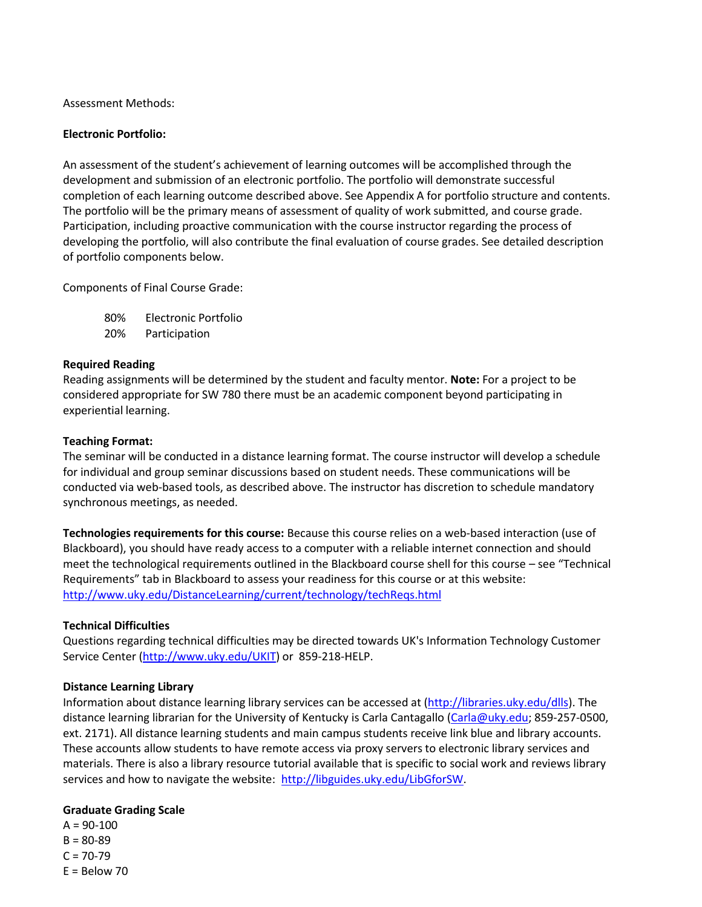Assessment Methods:

#### **Electronic Portfolio:**

An assessment of the student's achievement of learning outcomes will be accomplished through the development and submission of an electronic portfolio. The portfolio will demonstrate successful completion of each learning outcome described above. See Appendix A for portfolio structure and contents. The portfolio will be the primary means of assessment of quality of work submitted, and course grade. Participation, including proactive communication with the course instructor regarding the process of developing the portfolio, will also contribute the final evaluation of course grades. See detailed description of portfolio components below.

Components of Final Course Grade:

80% Electronic Portfolio 20% Participation

#### **Required Reading**

Reading assignments will be determined by the student and faculty mentor. **Note:** For a project to be considered appropriate for SW 780 there must be an academic component beyond participating in experiential learning.

#### **Teaching Format:**

The seminar will be conducted in a distance learning format. The course instructor will develop a schedule for individual and group seminar discussions based on student needs. These communications will be conducted via web‐based tools, as described above. The instructor has discretion to schedule mandatory synchronous meetings, as needed.

**Technologies requirements for this course:** Because this course relies on a web‐based interaction (use of Blackboard), you should have ready access to a computer with a reliable internet connection and should meet the technological requirements outlined in the Blackboard course shell for this course – see "Technical Requirements" tab in Blackboard to assess your readiness for this course or at this website: http://www.uky.edu/DistanceLearning/current/technology/techReqs.html

#### **Technical Difficulties**

Questions regarding technical difficulties may be directed towards UK's Information Technology Customer Service Center (http://www.uky.edu/UKIT) or 859‐218‐HELP.

#### **Distance Learning Library**

Information about distance learning library services can be accessed at (http://libraries.uky.edu/dlls). The distance learning librarian for the University of Kentucky is Carla Cantagallo (Carla@uky.edu; 859-257-0500, ext. 2171). All distance learning students and main campus students receive link blue and library accounts. These accounts allow students to have remote access via proxy servers to electronic library services and materials. There is also a library resource tutorial available that is specific to social work and reviews library services and how to navigate the website: http://libguides.uky.edu/LibGforSW.

#### **Graduate Grading Scale**

 $A = 90 - 100$  $B = 80 - 89$  $C = 70 - 79$  $E =$  Below 70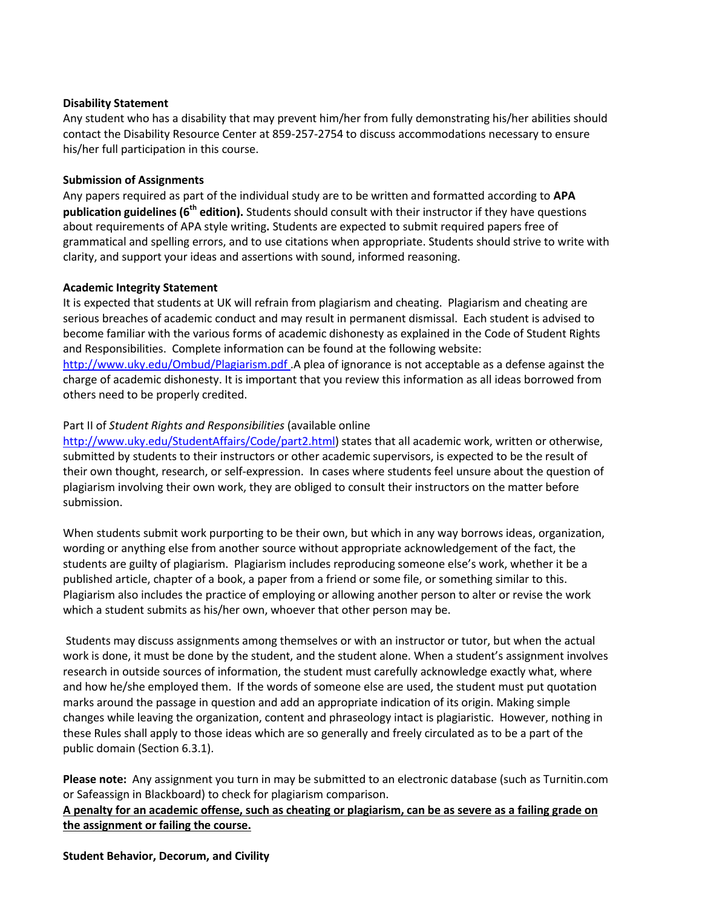#### **Disability Statement**

Any student who has a disability that may prevent him/her from fully demonstrating his/her abilities should contact the Disability Resource Center at 859‐257‐2754 to discuss accommodations necessary to ensure his/her full participation in this course.

#### **Submission of Assignments**

Any papers required as part of the individual study are to be written and formatted according to **APA publication guidelines (6th edition).** Students should consult with their instructor if they have questions about requirements of APA style writing**.** Students are expected to submit required papers free of grammatical and spelling errors, and to use citations when appropriate. Students should strive to write with clarity, and support your ideas and assertions with sound, informed reasoning.

#### **Academic Integrity Statement**

It is expected that students at UK will refrain from plagiarism and cheating. Plagiarism and cheating are serious breaches of academic conduct and may result in permanent dismissal. Each student is advised to become familiar with the various forms of academic dishonesty as explained in the Code of Student Rights and Responsibilities. Complete information can be found at the following website: http://www.uky.edu/Ombud/Plagiarism.pdf .A plea of ignorance is not acceptable as a defense against the charge of academic dishonesty. It is important that you review this information as all ideas borrowed from others need to be properly credited.

#### Part II of *Student Rights and Responsibilities* (available online

http://www.uky.edu/StudentAffairs/Code/part2.html) states that all academic work, written or otherwise, submitted by students to their instructors or other academic supervisors, is expected to be the result of their own thought, research, or self‐expression. In cases where students feel unsure about the question of plagiarism involving their own work, they are obliged to consult their instructors on the matter before submission.

When students submit work purporting to be their own, but which in any way borrows ideas, organization, wording or anything else from another source without appropriate acknowledgement of the fact, the students are guilty of plagiarism. Plagiarism includes reproducing someone else's work, whether it be a published article, chapter of a book, a paper from a friend or some file, or something similar to this. Plagiarism also includes the practice of employing or allowing another person to alter or revise the work which a student submits as his/her own, whoever that other person may be.

Students may discuss assignments among themselves or with an instructor or tutor, but when the actual work is done, it must be done by the student, and the student alone. When a student's assignment involves research in outside sources of information, the student must carefully acknowledge exactly what, where and how he/she employed them. If the words of someone else are used, the student must put quotation marks around the passage in question and add an appropriate indication of its origin. Making simple changes while leaving the organization, content and phraseology intact is plagiaristic. However, nothing in these Rules shall apply to those ideas which are so generally and freely circulated as to be a part of the public domain (Section 6.3.1).

**Please note:** Any assignment you turn in may be submitted to an electronic database (such as Turnitin.com or Safeassign in Blackboard) to check for plagiarism comparison.

A penalty for an academic offense, such as cheating or plagiarism, can be as severe as a failing grade on **the assignment or failing the course.**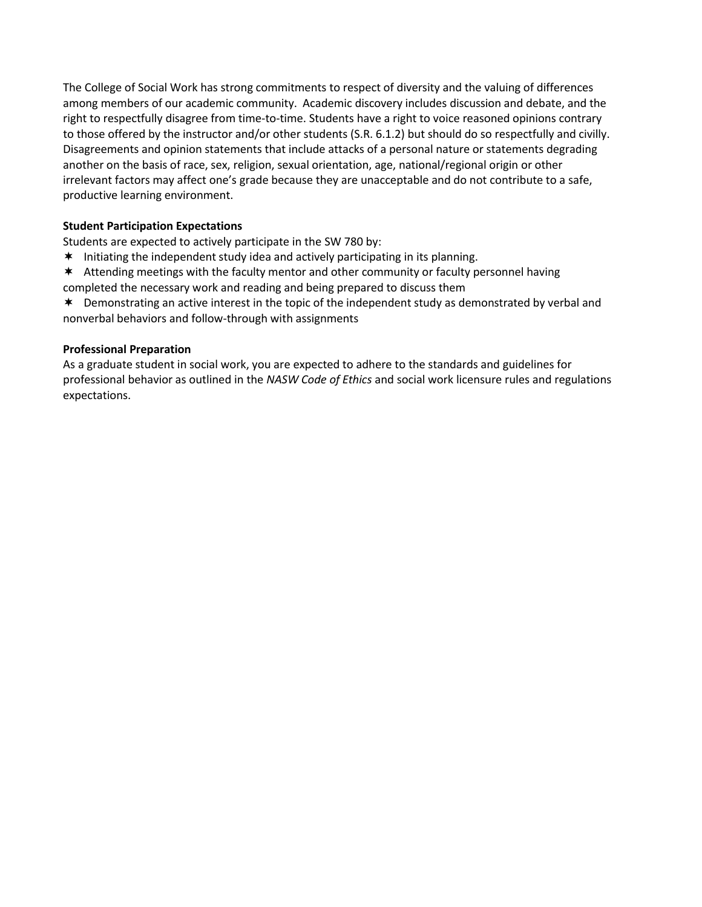The College of Social Work has strong commitments to respect of diversity and the valuing of differences among members of our academic community. Academic discovery includes discussion and debate, and the right to respectfully disagree from time‐to‐time. Students have a right to voice reasoned opinions contrary to those offered by the instructor and/or other students (S.R. 6.1.2) but should do so respectfully and civilly. Disagreements and opinion statements that include attacks of a personal nature or statements degrading another on the basis of race, sex, religion, sexual orientation, age, national/regional origin or other irrelevant factors may affect one's grade because they are unacceptable and do not contribute to a safe, productive learning environment.

#### **Student Participation Expectations**

Students are expected to actively participate in the SW 780 by:

- \* Initiating the independent study idea and actively participating in its planning.
- Attending meetings with the faculty mentor and other community or faculty personnel having completed the necessary work and reading and being prepared to discuss them

 Demonstrating an active interest in the topic of the independent study as demonstrated by verbal and nonverbal behaviors and follow‐through with assignments

#### **Professional Preparation**

As a graduate student in social work, you are expected to adhere to the standards and guidelines for professional behavior as outlined in the *NASW Code of Ethics* and social work licensure rules and regulations expectations.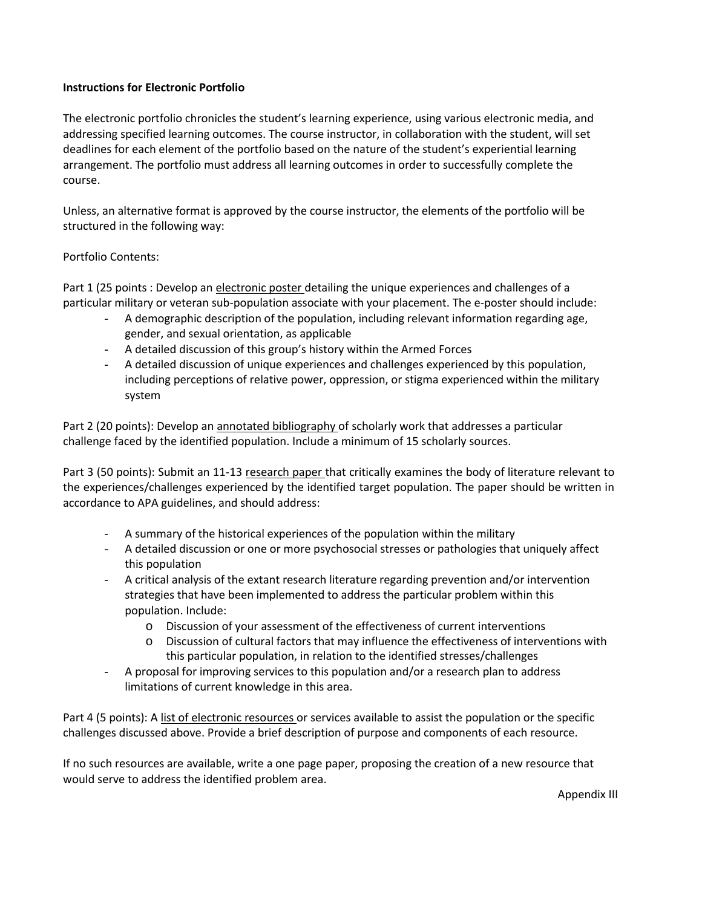#### **Instructions for Electronic Portfolio**

The electronic portfolio chronicles the student's learning experience, using various electronic media, and addressing specified learning outcomes. The course instructor, in collaboration with the student, will set deadlines for each element of the portfolio based on the nature of the student's experiential learning arrangement. The portfolio must address all learning outcomes in order to successfully complete the course.

Unless, an alternative format is approved by the course instructor, the elements of the portfolio will be structured in the following way:

#### Portfolio Contents:

Part 1 (25 points : Develop an electronic poster detailing the unique experiences and challenges of a particular military or veteran sub-population associate with your placement. The e-poster should include:

- A demographic description of the population, including relevant information regarding age, gender, and sexual orientation, as applicable
- A detailed discussion of this group's history within the Armed Forces
- A detailed discussion of unique experiences and challenges experienced by this population, including perceptions of relative power, oppression, or stigma experienced within the military system

Part 2 (20 points): Develop an annotated bibliography of scholarly work that addresses a particular challenge faced by the identified population. Include a minimum of 15 scholarly sources.

Part 3 (50 points): Submit an 11‐13 research paper that critically examines the body of literature relevant to the experiences/challenges experienced by the identified target population. The paper should be written in accordance to APA guidelines, and should address:

- A summary of the historical experiences of the population within the military
- A detailed discussion or one or more psychosocial stresses or pathologies that uniquely affect this population
- A critical analysis of the extant research literature regarding prevention and/or intervention strategies that have been implemented to address the particular problem within this population. Include:
	- o Discussion of your assessment of the effectiveness of current interventions
	- o Discussion of cultural factors that may influence the effectiveness of interventions with this particular population, in relation to the identified stresses/challenges
- A proposal for improving services to this population and/or a research plan to address limitations of current knowledge in this area.

Part 4 (5 points): A list of electronic resources or services available to assist the population or the specific challenges discussed above. Provide a brief description of purpose and components of each resource.

If no such resources are available, write a one page paper, proposing the creation of a new resource that would serve to address the identified problem area.

Appendix III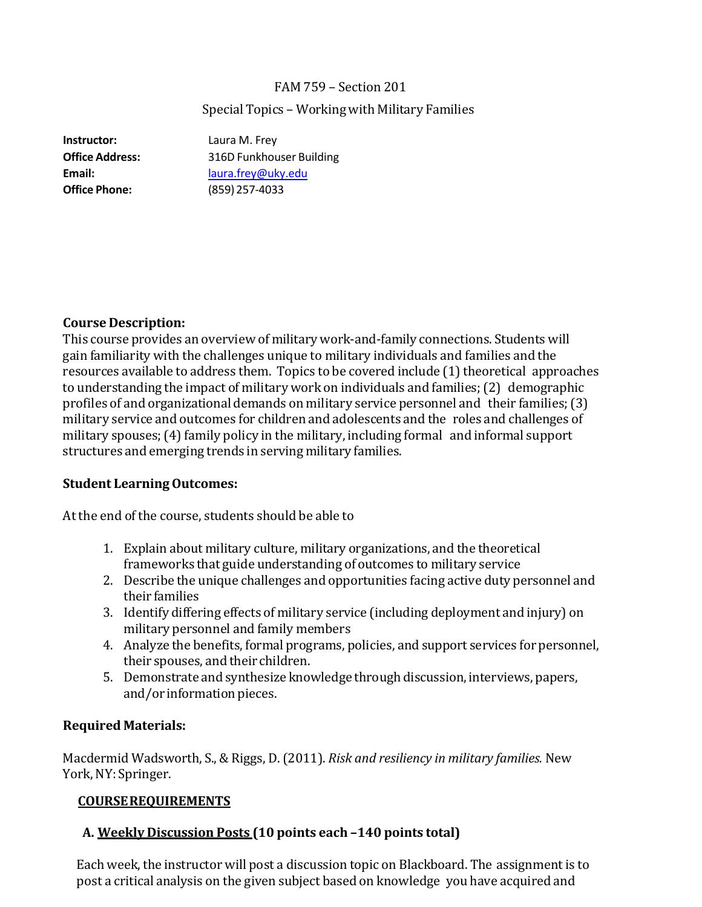# FAM 759 – Section 201

# Special Topics - Working with Military Families

**Instructor:** Laura M. Frey **Office Phone:** (859) 257‐4033

**Office Address:** 316D Funkhouser Building **Email:** laura.frey@uky.edu

# **Course Description:**

This course provides an overview of military work-and-family connections. Students will gain familiarity with the challenges unique to military individuals and families and the resources available to address them. Topics to be covered include (1) theoretical approaches to understanding the impact of military work on individuals and families; (2) demographic profiles of and organizational demands on military service personnel and their families;  $(3)$ military service and outcomes for children and adolescents and the roles and challenges of military spouses; (4) family policy in the military, including formal and informal support structures and emerging trends in serving military families.

# **Student LearningOutcomes:**

At the end of the course, students should be able to

- 1. Explain about military culture, military organizations, and the theoretical frameworks that guide understanding of outcomes to military service
- 2. Describe the unique challenges and opportunities facing active duty personnel and their families
- 3. Identify differing effects of military service (including deployment and injury) on military personnel and family members
- 4. Analyze the benefits, formal programs, policies, and support services for personnel, their spouses, and their children.
- 5. Demonstrate and synthesize knowledge through discussion, interviews, papers, and/or information pieces.

#### **Required Materials:**

Macdermid Wadsworth, S., & Riggs, D. (2011). *Risk and resiliency in military families.* New York, NY: Springer.

# **COURSEREQUIREMENTS**

# **A. Weekly Discussion Posts (10 points each –140 points total)**

Each week, the instructor will post a discussion topic on Blackboard. The assignment is to post a critical analysis on the given subject based on knowledge you have acquired and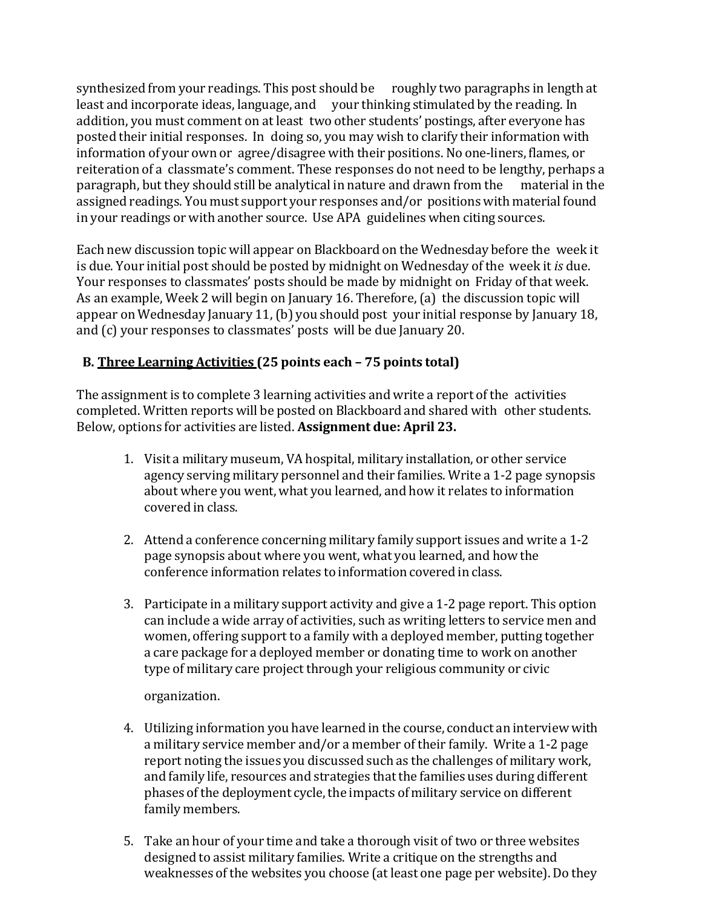synthesized from your readings. This post should be roughly two paragraphs in length at least and incorporate ideas, language, and vour thinking stimulated by the reading. In addition, you must comment on at least two other students' postings, after everyone has posted their initial responses. In doing so, you may wish to clarify their information with information of your own or agree/disagree with their positions. No one-liners, flames, or reiteration of a classmate's comment. These responses do not need to be lengthy, perhaps a paragraph, but they should still be analytical in nature and drawn from the material in the assigned readings. You must support your responses and/or positions with material found in your readings or with another source. Use APA guidelines when citing sources.

Each new discussion topic will appear on Blackboard on the Wednesday before the week it is due. Your initial post should be posted by midnight on Wednesday of the week it *is* due. Your responses to classmates' posts should be made by midnight on Friday of that week. As an example, Week 2 will begin on January 16. Therefore, (a) the discussion topic will appear on Wednesday January 11, (b) you should post your initial response by January 18, and (c) your responses to classmates' posts will be due January 20.

# **B. Three Learning Activities (25 points each – 75 points total)**

The assignment is to complete 3 learning activities and write a report of the activities completed. Written reports will be posted on Blackboard and shared with other students. Below, options for activities are listed. **Assignment due: April 23.**

- 1. Visit a military museum, VA hospital, military installation, or other service agency serving military personnel and their families. Write a 1-2 page synopsis about where you went, what you learned, and how it relates to information covered in class.
- 2. Attend a conference concerning military family support issues and write a 1-2 page synopsis about where you went, what you learned, and how the conference information relates to information covered in class.
- 3. Participate in a military support activity and give a  $1-2$  page report. This option can include a wide array of activities, such as writing letters to service men and women, offering support to a family with a deployed member, putting together a care package for a deployed member or donating time to work on another type of military care project through your religious community or civic

organization.

- 4. Utilizing information you have learned in the course, conduct an interview with a military service member and/or a member of their family. Write a 1-2 page report noting the issues you discussed such as the challenges of military work, and family life, resources and strategies that the families uses during different phases of the deployment cycle, the impacts of military service on different family members.
- 5. Take an hour of your time and take a thorough visit of two or three websites designed to assist military families. Write a critique on the strengths and weaknesses of the websites you choose (at least one page per website). Do they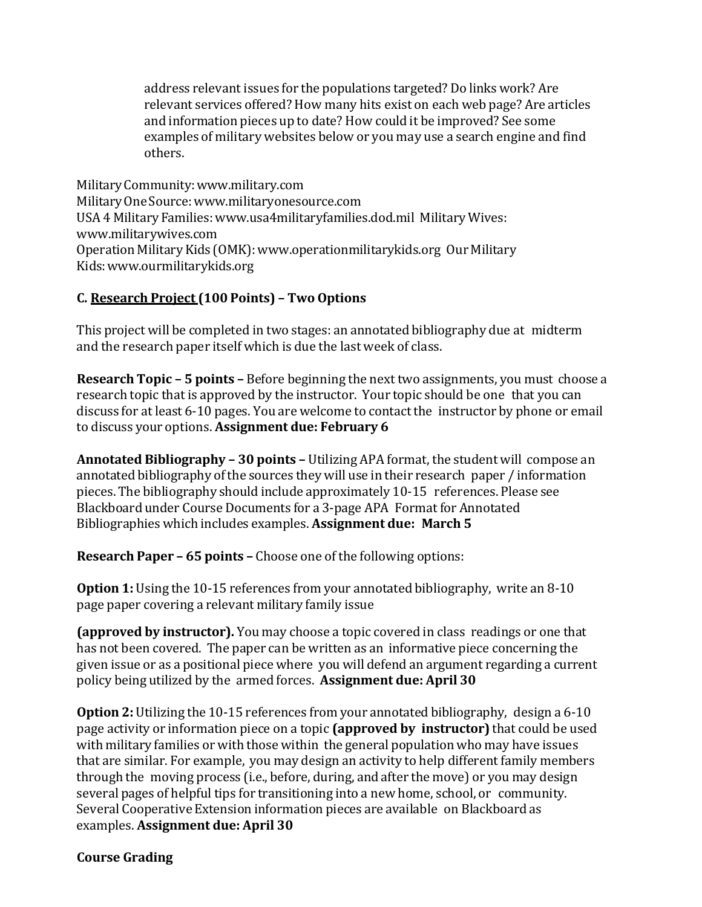address relevant issues for the populations targeted? Do links work? Are relevant services offered? How many hits exist on each web page? Are articles and information pieces up to date? How could it be improved? See some examples of military websites below or you may use a search engine and find others. 

Military Community: www.military.com Military One Source: www.militaryonesource.com USA 4 Military Families: www.usa4militaryfamilies.dod.mil Military Wives: www.militarywives.com Operation Military Kids (OMK): www.operationmilitarykids.org Our Military Kids: www.ourmilitarykids.org

# **C. Research Project (100 Points) – Two Options**

This project will be completed in two stages: an annotated bibliography due at midterm and the research paper itself which is due the last week of class.

**Research Topic – 5 points –** Before beginning the next two assignments, you must choose a research topic that is approved by the instructor. Your topic should be one that you can discuss for at least 6-10 pages. You are welcome to contact the instructor by phone or email to discuss your options. **Assignment due: February 6**

**Annotated Bibliography - 30 points -** Utilizing APA format, the student will compose an annotated bibliography of the sources they will use in their research paper / information pieces. The bibliography should include approximately 10-15 references. Please see Blackboard under Course Documents for a 3-page APA Format for Annotated Bibliographies which includes examples. **Assignment due: March 5**

**Research Paper – 65 points –** Choose one of the following options:

**Option 1:** Using the 10-15 references from your annotated bibliography, write an 8-10 page paper covering a relevant military family issue

**(approved by instructor).** You may choose a topic covered in class readings or one that has not been covered. The paper can be written as an informative piece concerning the given issue or as a positional piece where you will defend an argument regarding a current policy being utilized by the armed forces. **Assignment due: April 30**

**Option 2:** Utilizing the 10-15 references from your annotated bibliography, design a 6-10 page activity or information piece on a topic (approved by instructor) that could be used with military families or with those within the general population who may have issues that are similar. For example, you may design an activity to help different family members through the moving process (i.e., before, during, and after the move) or you may design several pages of helpful tips for transitioning into a new home, school, or community. Several Cooperative Extension information pieces are available on Blackboard as examples. **Assignment due: April 30**

# **Course Grading**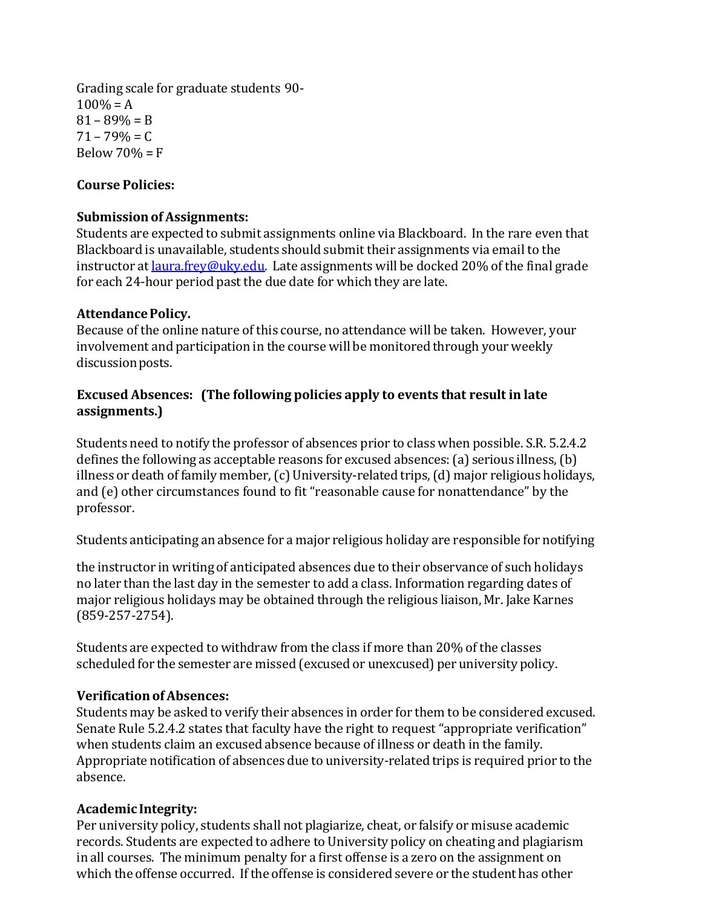Grading scale for graduate students 90- $100\% = A$  $81 - 89\% = B$  $71 - 79\% = C$ Below  $70% = F$ 

# **Course Policies:**

# **Submission of Assignments:**

Students are expected to submit assignments online via Blackboard. In the rare even that Blackboard is unavailable, students should submit their assignments via email to the instructor at  $l$ <sub>aura.frey@uky.edu.</sub> Late assignments will be docked 20% of the final grade for each 24-hour period past the due date for which they are late.

# **AttendancePolicy.**

Because of the online nature of this course, no attendance will be taken. However, your involvement and participation in the course will be monitored through your weekly discussion posts.

# **Excused Absences: (The following policies apply to events that result in late assignments.)**

Students need to notify the professor of absences prior to class when possible. S.R. 5.2.4.2 defines the following as acceptable reasons for excused absences:  $(a)$  serious illness,  $(b)$ illness or death of family member, (c) University-related trips, (d) major religious holidays, and (e) other circumstances found to fit "reasonable cause for nonattendance" by the professor. 

Students anticipating an absence for a major religious holiday are responsible for notifying

the instructor in writing of anticipated absences due to their observance of such holidays no later than the last day in the semester to add a class. Information regarding dates of major religious holidays may be obtained through the religious liaison, Mr. Jake Karnes (859‐257‐2754). 

Students are expected to withdraw from the class if more than 20% of the classes scheduled for the semester are missed (excused or unexcused) per university policy.

# **Verification of Absences:**

Students may be asked to verify their absences in order for them to be considered excused. Senate Rule 5.2.4.2 states that faculty have the right to request "appropriate verification" when students claim an excused absence because of illness or death in the family. Appropriate notification of absences due to university-related trips is required prior to the absence. 

# **Academic Integrity:**

Per university policy, students shall not plagiarize, cheat, or falsify or misuse academic records. Students are expected to adhere to University policy on cheating and plagiarism in all courses. The minimum penalty for a first offense is a zero on the assignment on which the offense occurred. If the offense is considered severe or the student has other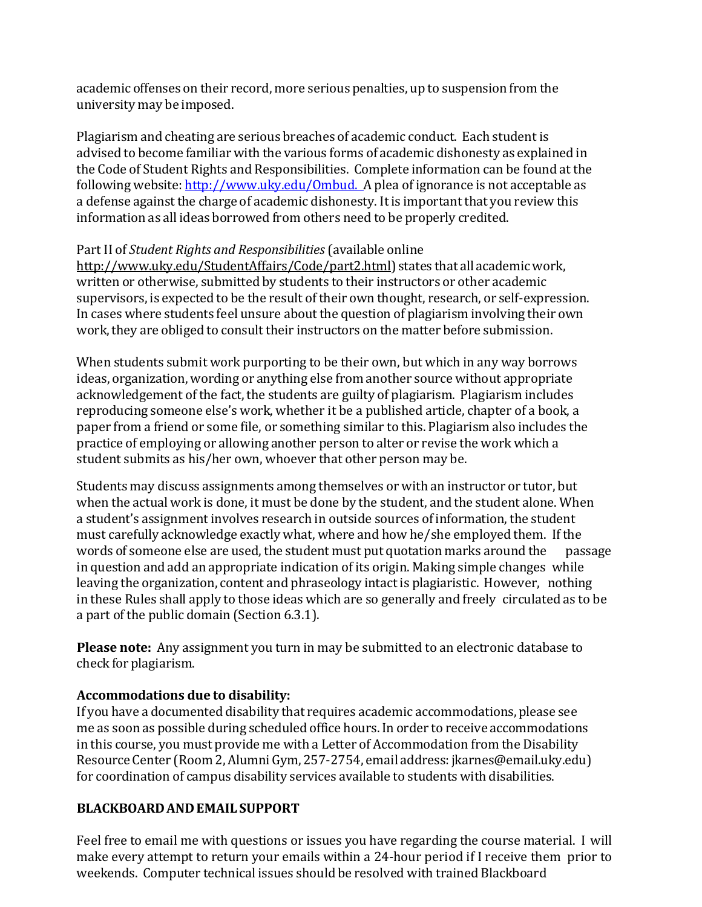academic offenses on their record, more serious penalties, up to suspension from the university may be imposed.

Plagiarism and cheating are serious breaches of academic conduct. Each student is advised to become familiar with the various forms of academic dishonesty as explained in the Code of Student Rights and Responsibilities. Complete information can be found at the following website: http://www.uky.edu/Ombud. A plea of ignorance is not acceptable as a defense against the charge of academic dishonesty. It is important that you review this information as all ideas borrowed from others need to be properly credited.

# Part II of *Student Rights and Responsibilities* (available online

http://www.uky.edu/StudentAffairs/Code/part2.html) states that all academic work, written or otherwise, submitted by students to their instructors or other academic supervisors, is expected to be the result of their own thought, research, or self-expression. In cases where students feel unsure about the question of plagiarism involving their own work, they are obliged to consult their instructors on the matter before submission.

When students submit work purporting to be their own, but which in any way borrows ideas, organization, wording or anything else from another source without appropriate acknowledgement of the fact, the students are guilty of plagiarism. Plagiarism includes reproducing someone else's work, whether it be a published article, chapter of a book, a paper from a friend or some file, or something similar to this. Plagiarism also includes the practice of employing or allowing another person to alter or revise the work which a student submits as his/her own, whoever that other person may be.

Students may discuss assignments among themselves or with an instructor or tutor, but when the actual work is done, it must be done by the student, and the student alone. When a student's assignment involves research in outside sources of information, the student must carefully acknowledge exactly what, where and how he/she employed them. If the words of someone else are used, the student must put quotation marks around the passage in question and add an appropriate indication of its origin. Making simple changes while leaving the organization, content and phraseology intact is plagiaristic. However, nothing in these Rules shall apply to those ideas which are so generally and freely circulated as to be a part of the public domain (Section 6.3.1).

**Please note:** Any assignment you turn in may be submitted to an electronic database to check for plagiarism. 

# **Accommodations due to disability:**

If you have a documented disability that requires academic accommodations, please see me as soon as possible during scheduled office hours. In order to receive accommodations in this course, you must provide me with a Letter of Accommodation from the Disability Resource Center (Room 2, Alumni Gym, 257-2754, email address: jkarnes@email.uky.edu) for coordination of campus disability services available to students with disabilities.

# **BLACKBOARDANDEMAIL SUPPORT**

Feel free to email me with questions or issues you have regarding the course material. I will make every attempt to return your emails within a 24-hour period if I receive them prior to weekends. Computer technical issues should be resolved with trained Blackboard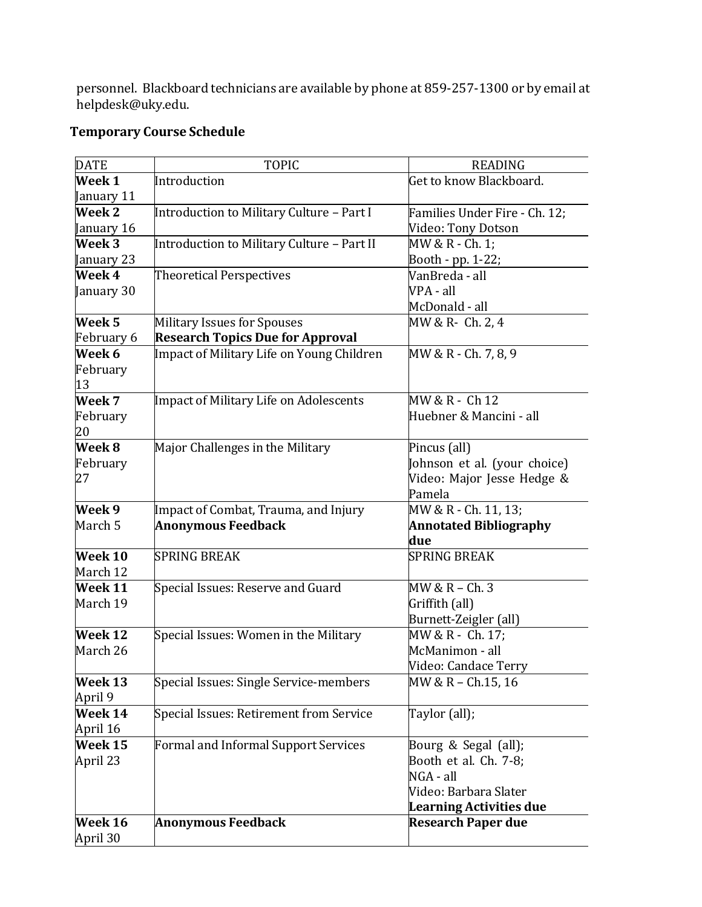personnel. Blackboard technicians are available by phone at 859-257-1300 or by email at helpdesk@uky.edu. 

# **Temporary Course Schedule**

| <b>DATE</b>       | <b>TOPIC</b>                               | <b>READING</b>                 |  |
|-------------------|--------------------------------------------|--------------------------------|--|
| Week 1            | Introduction                               | Get to know Blackboard.        |  |
| January 11        |                                            |                                |  |
| <b>Week 2</b>     | Introduction to Military Culture - Part I  | Families Under Fire - Ch. 12;  |  |
| January 16        |                                            | Video: Tony Dotson             |  |
| Week 3            | Introduction to Military Culture - Part II | MW & R - Ch. 1;                |  |
| January 23        |                                            | Booth - pp. 1-22;              |  |
| Week 4            | <b>Theoretical Perspectives</b>            | VanBreda - all                 |  |
| January 30        |                                            | VPA - all                      |  |
|                   |                                            | McDonald - all                 |  |
| Week <sub>5</sub> | <b>Military Issues for Spouses</b>         | MW & R- Ch. 2, 4               |  |
| February 6        | <b>Research Topics Due for Approval</b>    |                                |  |
| Week 6            | Impact of Military Life on Young Children  | MW & R - Ch. 7, 8, 9           |  |
| February          |                                            |                                |  |
| 13                |                                            |                                |  |
| Week 7            | Impact of Military Life on Adolescents     | MW & R - Ch 12                 |  |
| February          |                                            | Huebner & Mancini - all        |  |
| 20                |                                            |                                |  |
| Week 8            | Major Challenges in the Military           | Pincus (all)                   |  |
| February          |                                            | Johnson et al. (your choice)   |  |
| 27                |                                            | Video: Major Jesse Hedge &     |  |
|                   |                                            | Pamela                         |  |
| Week 9            | Impact of Combat, Trauma, and Injury       | MW & R - Ch. 11, 13;           |  |
| March 5           | <b>Anonymous Feedback</b>                  | <b>Annotated Bibliography</b>  |  |
|                   |                                            | due                            |  |
| Week 10           | <b>SPRING BREAK</b>                        | <b>SPRING BREAK</b>            |  |
| March 12          |                                            |                                |  |
| Week 11           | Special Issues: Reserve and Guard          | MW & R - Ch. 3                 |  |
| March 19          |                                            | Griffith (all)                 |  |
|                   |                                            | Burnett-Zeigler (all)          |  |
| Week 12           | Special Issues: Women in the Military      | MW & R - Ch. 17;               |  |
| March 26          |                                            | McManimon - all                |  |
|                   |                                            | Video: Candace Terry           |  |
| Week 13           | Special Issues: Single Service-members     | MW & R - Ch.15, 16             |  |
| April 9           |                                            |                                |  |
| Week 14           | Special Issues: Retirement from Service    | Taylor (all);                  |  |
| April 16          |                                            |                                |  |
| Week 15           | Formal and Informal Support Services       | Bourg & Segal (all);           |  |
| April 23          |                                            | Booth et al. Ch. 7-8;          |  |
|                   |                                            | NGA - all                      |  |
|                   |                                            | Video: Barbara Slater          |  |
|                   |                                            | <b>Learning Activities due</b> |  |
| Week 16           | <b>Anonymous Feedback</b>                  | <b>Research Paper due</b>      |  |
| April 30          |                                            |                                |  |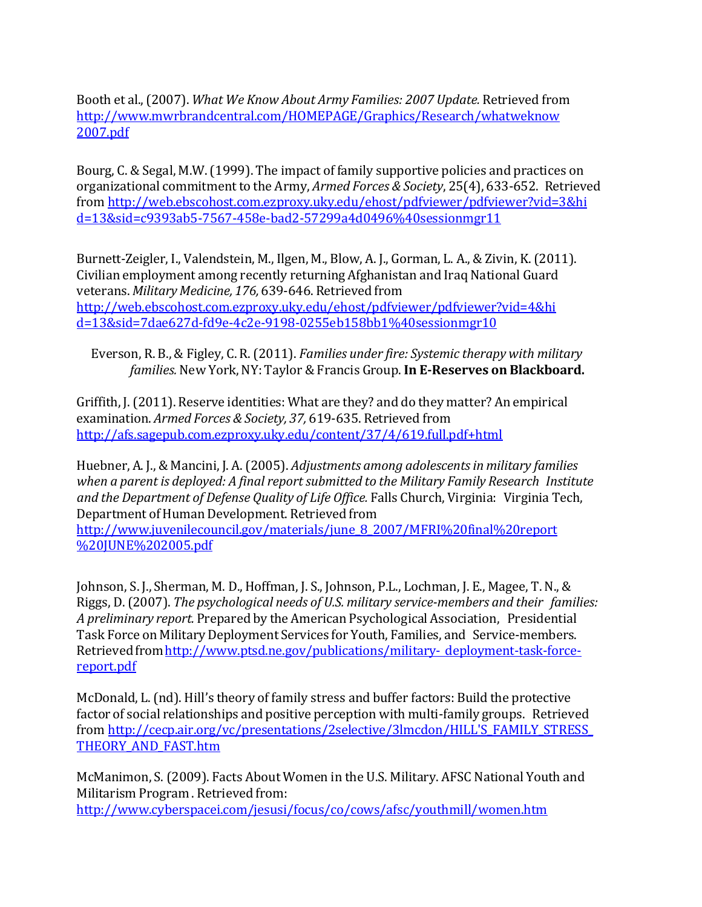Booth et al., (2007). *What We Know About Army Families: 2007 Update.* Retrieved from http://www.mwrbrandcentral.com/HOMEPAGE/Graphics/Research/whatweknow 2007.pdf

Bourg, C. & Segal, M.W. (1999). The impact of family supportive policies and practices on organizational commitment to the Army, *Armed Forces & Society*, 25(4), 633-652. Retrieved from http://web.ebscohost.com.ezproxy.uky.edu/ehost/pdfviewer/pdfviewer?vid=3&hi d=13&sid=c9393ab5‐7567‐458e‐bad2‐57299a4d0496%40sessionmgr11

Burnett-Zeigler, I., Valendstein, M., Ilgen, M., Blow, A. J., Gorman, L. A., & Zivin, K. (2011). Civilian employment among recently returning Afghanistan and Iraq National Guard veterans. *Military Medicine, 176,* 639‐646. Retrieved from http://web.ebscohost.com.ezproxy.uky.edu/ehost/pdfviewer/pdfviewer?vid=4&hi d=13&sid=7dae627d‐fd9e‐4c2e‐9198‐0255eb158bb1%40sessionmgr10

Everson, R. B., & Figley, C. R. (2011). *Families under fire: Systemic therapy with military families.* New York, NY: Taylor & Francis Group. **In E‐Reserves on Blackboard.**

Griffith, J. (2011). Reserve identities: What are they? and do they matter? An empirical examination. *Armed Forces & Society, 37,* 619‐635. Retrieved from http://afs.sagepub.com.ezproxy.uky.edu/content/37/4/619.full.pdf+html

Huebner, A. J., & Mancini, J. A. (2005). *Adjustments among adolescentsin military families when a parent is deployed: A final report submitted to the Military Family Research Institute and the Department of Defense Quality of Life Office.* Falls Church, Virginia: Virginia Tech, Department of Human Development. Retrieved from

http://www.juvenilecouncil.gov/materials/june\_8\_2007/MFRI%20final%20report %20JUNE%202005.pdf

Johnson, S. J., Sherman, M. D., Hoffman, J. S., Johnson, P.L., Lochman, J. E., Magee, T. N., & Riggs, D. (2007). *The psychological needs of U.S. military service‐members and their families:* A *preliminary report.* Prepared by the American Psychological Association, Presidential Task Force on Military Deployment Services for Youth, Families, and Service-members. Retrieved from http://www.ptsd.ne.gov/publications/military- deployment-task-forcereport.pdf

McDonald, L. (nd). Hill's theory of family stress and buffer factors: Build the protective factor of social relationships and positive perception with multi-family groups. Retrieved from http://cecp.air.org/vc/presentations/2selective/3lmcdon/HILL'S\_FAMILY\_STRESS THEORY\_AND\_FAST.htm

McManimon, S. (2009). Facts About Women in the U.S. Military. AFSC National Youth and Militarism Program . Retrieved from: http://www.cyberspacei.com/jesusi/focus/co/cows/afsc/youthmill/women.htm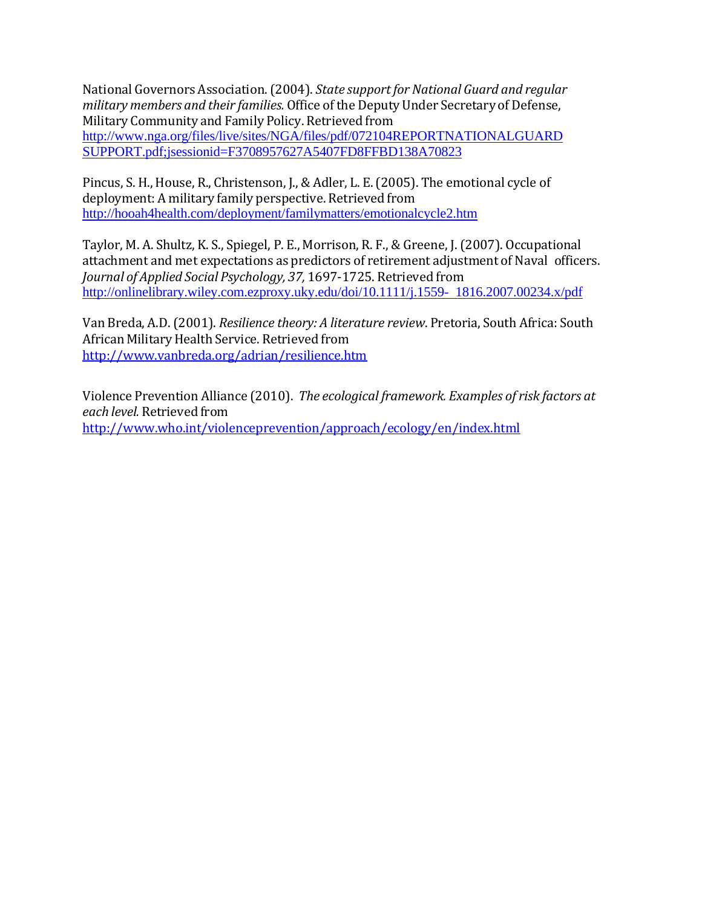National Governors Association. (2004). *State supportfor National Guard and regular military members and their families.* Office of the Deputy Under Secretary of Defense, Military Community and Family Policy. Retrieved from http://www.nga.org/files/live/sites/NGA/files/pdf/072104REPORTNATIONALGUARD SUPPORT.pdf;jsessionid=F3708957627A5407FD8FFBD138A70823

Pincus, S. H., House, R., Christenson, J., & Adler, L. E. (2005). The emotional cycle of deployment: A military family perspective. Retrieved from http://hooah4health.com/deployment/familymatters/emotionalcycle2.htm

Taylor, M. A. Shultz, K. S., Spiegel, P. E., Morrison, R. F., & Greene, J. (2007). Occupational attachment and met expectations as predictors of retirement adjustment of Naval officers. *Journal of Applied Social Psychology, 37,* 1697‐1725. Retrieved from http://onlinelibrary.wiley.com.ezproxy.uky.edu/doi/10.1111/j.1559- 1816.2007.00234.x/pdf

Van Breda, A.D. (2001). *Resilience theory: A literature review*. Pretoria, South Africa: South African Military Health Service. Retrieved from http://www.vanbreda.org/adrian/resilience.htm

Violence Prevention Alliance (2010). *The ecological framework. Examples of risk factors at each level.* Retrieved from http://www.who.int/violenceprevention/approach/ecology/en/index.html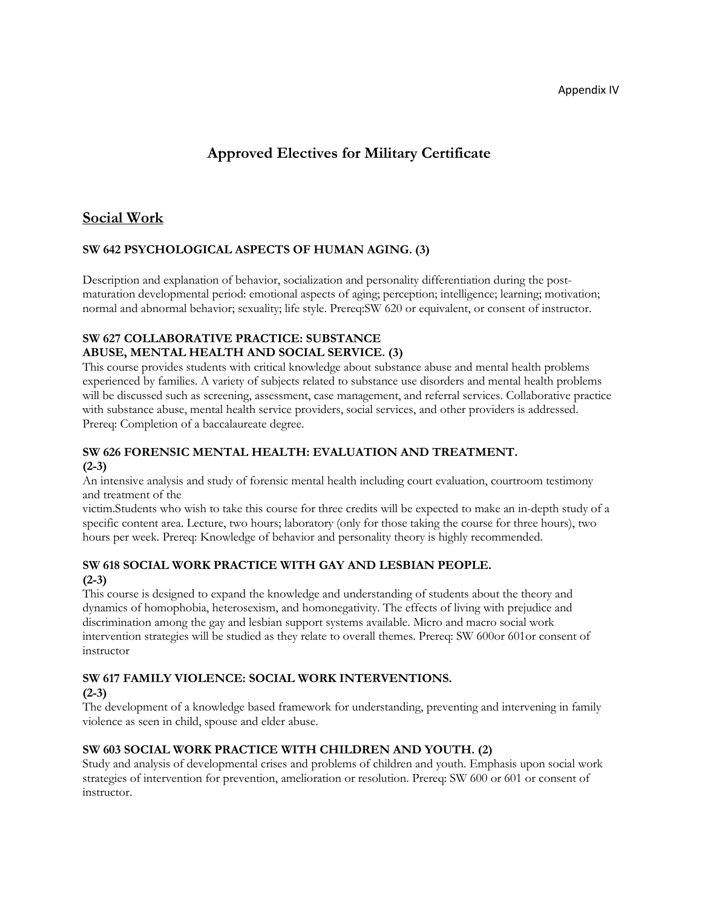Appendix IV

# **Approved Electives for Military Certificate**

# **Social Work**

#### **SW 642 PSYCHOLOGICAL ASPECTS OF HUMAN AGING. (3)**

Description and explanation of behavior, socialization and personality differentiation during the postmaturation developmental period: emotional aspects of aging; perception; intelligence; learning; motivation; normal and abnormal behavior; sexuality; life style. Prereq:SW 620 or equivalent, or consent of instructor.

#### **SW 627 COLLABORATIVE PRACTICE: SUBSTANCE ABUSE, MENTAL HEALTH AND SOCIAL SERVICE. (3)**

This course provides students with critical knowledge about substance abuse and mental health problems experienced by families. A variety of subjects related to substance use disorders and mental health problems will be discussed such as screening, assessment, case management, and referral services. Collaborative practice with substance abuse, mental health service providers, social services, and other providers is addressed. Prereq: Completion of a baccalaureate degree.

#### **SW 626 FORENSIC MENTAL HEALTH: EVALUATION AND TREATMENT. (2-3)**

An intensive analysis and study of forensic mental health including court evaluation, courtroom testimony and treatment of the

victim.Students who wish to take this course for three credits will be expected to make an in-depth study of a specific content area. Lecture, two hours; laboratory (only for those taking the course for three hours), two hours per week. Prereq: Knowledge of behavior and personality theory is highly recommended.

#### **SW 618 SOCIAL WORK PRACTICE WITH GAY AND LESBIAN PEOPLE. (2-3)**

This course is designed to expand the knowledge and understanding of students about the theory and dynamics of homophobia, heterosexism, and homonegativity. The effects of living with prejudice and discrimination among the gay and lesbian support systems available. Micro and macro social work intervention strategies will be studied as they relate to overall themes. Prereq: SW 600or 601or consent of instructor

#### **SW 617 FAMILY VIOLENCE: SOCIAL WORK INTERVENTIONS.**

#### **(2-3)**

The development of a knowledge based framework for understanding, preventing and intervening in family violence as seen in child, spouse and elder abuse.

#### **SW 603 SOCIAL WORK PRACTICE WITH CHILDREN AND YOUTH. (2)**

Study and analysis of developmental crises and problems of children and youth. Emphasis upon social work strategies of intervention for prevention, amelioration or resolution. Prereq: SW 600 or 601 or consent of instructor.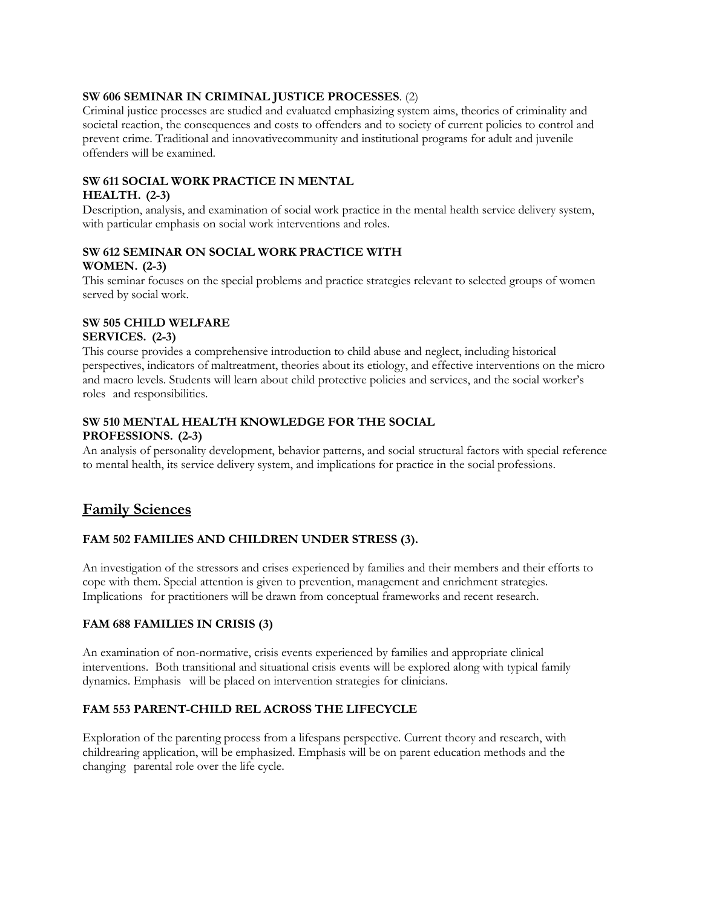#### **SW 606 SEMINAR IN CRIMINAL JUSTICE PROCESSES**. (2)

Criminal justice processes are studied and evaluated emphasizing system aims, theories of criminality and societal reaction, the consequences and costs to offenders and to society of current policies to control and prevent crime. Traditional and innovativecommunity and institutional programs for adult and juvenile offenders will be examined.

# **SW 611 SOCIAL WORK PRACTICE IN MENTAL**

#### **HEALTH. (2-3)**

Description, analysis, and examination of social work practice in the mental health service delivery system, with particular emphasis on social work interventions and roles.

#### **SW 612 SEMINAR ON SOCIAL WORK PRACTICE WITH WOMEN. (2-3)**

This seminar focuses on the special problems and practice strategies relevant to selected groups of women served by social work.

#### **SW 505 CHILD WELFARE**

#### **SERVICES. (2-3)**

This course provides a comprehensive introduction to child abuse and neglect, including historical perspectives, indicators of maltreatment, theories about its etiology, and effective interventions on the micro and macro levels. Students will learn about child protective policies and services, and the social worker's roles and responsibilities.

#### **SW 510 MENTAL HEALTH KNOWLEDGE FOR THE SOCIAL PROFESSIONS. (2-3)**

An analysis of personality development, behavior patterns, and social structural factors with special reference to mental health, its service delivery system, and implications for practice in the social professions.

# **Family Sciences**

#### **FAM 502 FAMILIES AND CHILDREN UNDER STRESS (3).**

An investigation of the stressors and crises experienced by families and their members and their efforts to cope with them. Special attention is given to prevention, management and enrichment strategies. Implications for practitioners will be drawn from conceptual frameworks and recent research.

#### **FAM 688 FAMILIES IN CRISIS (3)**

An examination of non-normative, crisis events experienced by families and appropriate clinical interventions. Both transitional and situational crisis events will be explored along with typical family dynamics. Emphasis will be placed on intervention strategies for clinicians.

#### **FAM 553 PARENT-CHILD REL ACROSS THE LIFECYCLE**

Exploration of the parenting process from a lifespans perspective. Current theory and research, with childrearing application, will be emphasized. Emphasis will be on parent education methods and the changing parental role over the life cycle.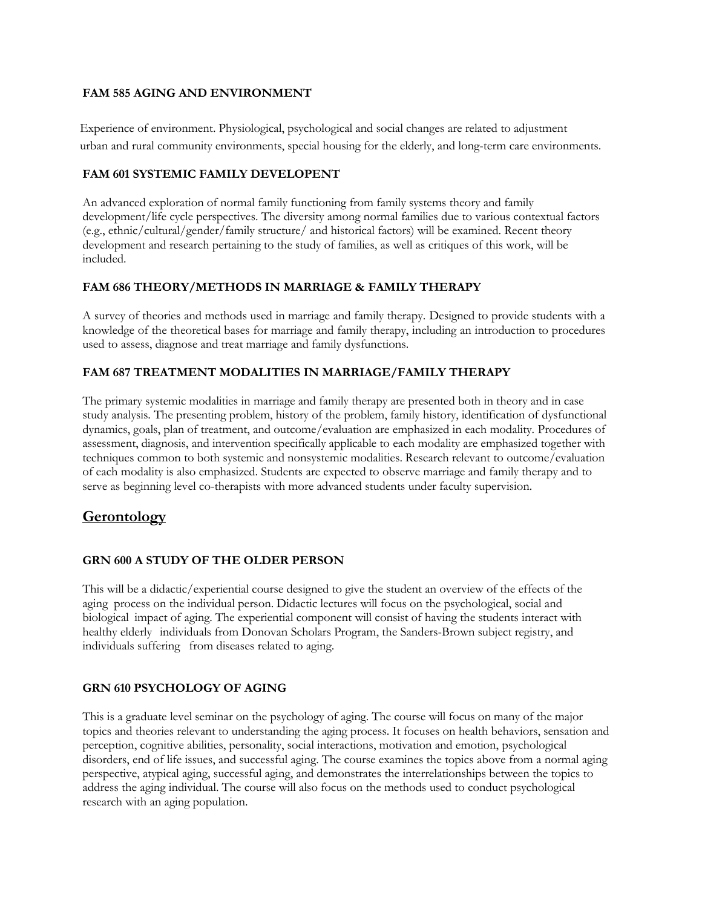#### **FAM 585 AGING AND ENVIRONMENT**

 Experience of environment. Physiological, psychological and social changes are related to adjustment urban and rural community environments, special housing for the elderly, and long-term care environments.

#### **FAM 601 SYSTEMIC FAMILY DEVELOPENT**

An advanced exploration of normal family functioning from family systems theory and family development/life cycle perspectives. The diversity among normal families due to various contextual factors (e.g., ethnic/cultural/gender/family structure/ and historical factors) will be examined. Recent theory development and research pertaining to the study of families, as well as critiques of this work, will be included.

#### **FAM 686 THEORY/METHODS IN MARRIAGE & FAMILY THERAPY**

A survey of theories and methods used in marriage and family therapy. Designed to provide students with a knowledge of the theoretical bases for marriage and family therapy, including an introduction to procedures used to assess, diagnose and treat marriage and family dysfunctions.

#### **FAM 687 TREATMENT MODALITIES IN MARRIAGE/FAMILY THERAPY**

The primary systemic modalities in marriage and family therapy are presented both in theory and in case study analysis. The presenting problem, history of the problem, family history, identification of dysfunctional dynamics, goals, plan of treatment, and outcome/evaluation are emphasized in each modality. Procedures of assessment, diagnosis, and intervention specifically applicable to each modality are emphasized together with techniques common to both systemic and nonsystemic modalities. Research relevant to outcome/evaluation of each modality is also emphasized. Students are expected to observe marriage and family therapy and to serve as beginning level co-therapists with more advanced students under faculty supervision.

# **Gerontology**

#### **GRN 600 A STUDY OF THE OLDER PERSON**

This will be a didactic/experiential course designed to give the student an overview of the effects of the aging process on the individual person. Didactic lectures will focus on the psychological, social and biological impact of aging. The experiential component will consist of having the students interact with healthy elderly individuals from Donovan Scholars Program, the Sanders-Brown subject registry, and individuals suffering from diseases related to aging.

#### **GRN 610 PSYCHOLOGY OF AGING**

This is a graduate level seminar on the psychology of aging. The course will focus on many of the major topics and theories relevant to understanding the aging process. It focuses on health behaviors, sensation and perception, cognitive abilities, personality, social interactions, motivation and emotion, psychological disorders, end of life issues, and successful aging. The course examines the topics above from a normal aging perspective, atypical aging, successful aging, and demonstrates the interrelationships between the topics to address the aging individual. The course will also focus on the methods used to conduct psychological research with an aging population.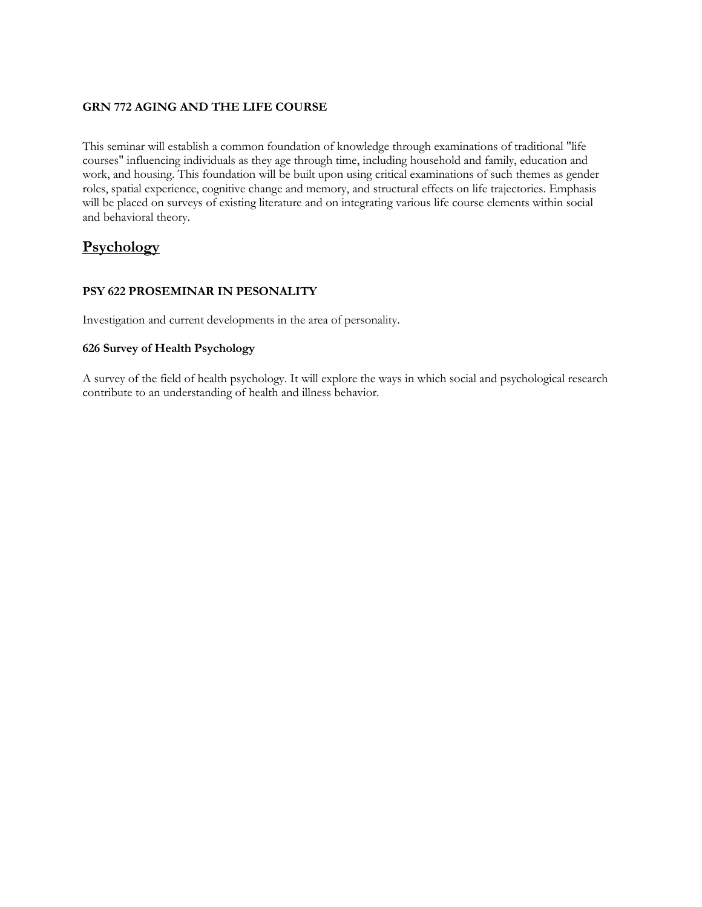#### **GRN 772 AGING AND THE LIFE COURSE**

This seminar will establish a common foundation of knowledge through examinations of traditional "life courses" influencing individuals as they age through time, including household and family, education and work, and housing. This foundation will be built upon using critical examinations of such themes as gender roles, spatial experience, cognitive change and memory, and structural effects on life trajectories. Emphasis will be placed on surveys of existing literature and on integrating various life course elements within social and behavioral theory.

# **Psychology**

#### **PSY 622 PROSEMINAR IN PESONALITY**

Investigation and current developments in the area of personality.

#### **626 Survey of Health Psychology**

A survey of the field of health psychology. It will explore the ways in which social and psychological research contribute to an understanding of health and illness behavior.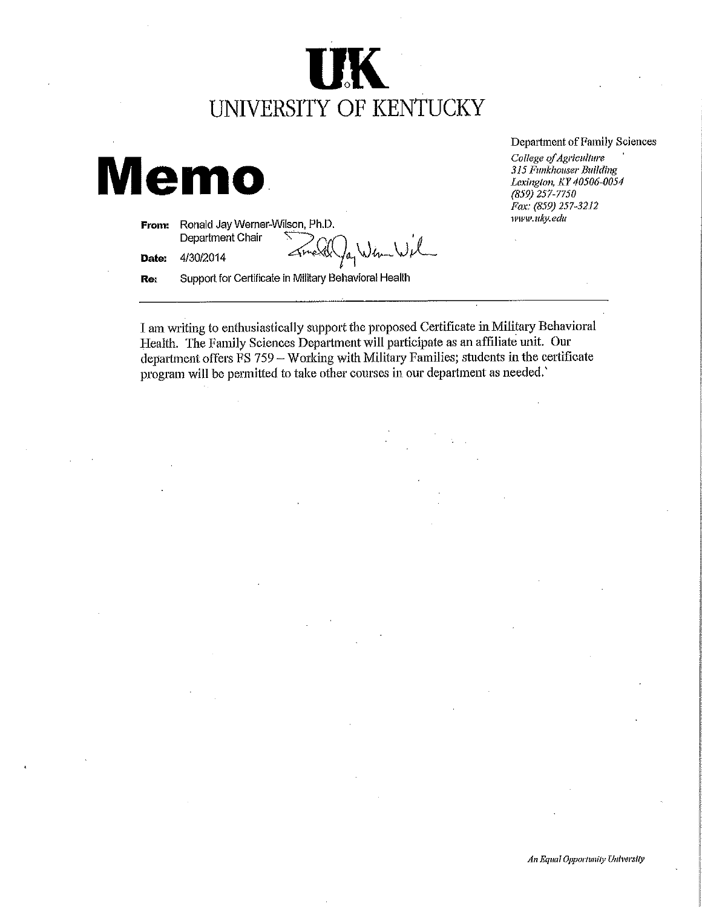# UNIVERSITY OF KENTUCKY

 $l_{a_1}$ 

# **Memo**

Ronald Jay Werner-Wilson, Ph.D. From: Department Chair

Date: 4/30/2014

Support for Certificate in Military Behavioral Health Re:

Department of Family Sciences

College of Agriculture 315 Funkhouser Building Lexington, KY 40506-0054  $(859)$  257-7750 Fax: (859) 257-3212 www.uky.edu

I am writing to enthusiastically support the proposed Certificate in Military Behavioral Health. The Family Sciences Department will participate as an affiliate unit. Our department offers FS 759 - Working with Military Families; students in the certificate program will be permitted to take other courses in our department as needed.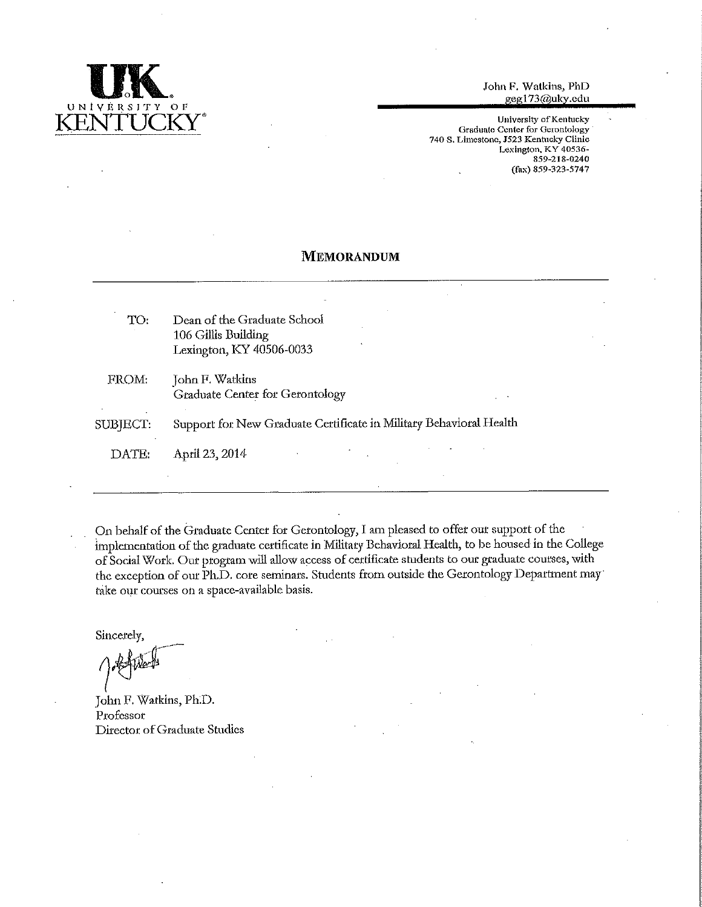

John F. Watkins, PhD geg173@uky.edu

University of Kentucky Graduate Center for Gerontology 740 S. Limestone, J523 Kentucky Clinic Lexington, KY 40536-859-218-0240 (fax) 859-323-5747

#### **MEMORANDUM**

| TO:      | Dean of the Graduate School<br>106 Gillis Building<br>Lexington, KY 40506-0033 |
|----------|--------------------------------------------------------------------------------|
| FROM:    | John F. Watkins<br><b>Graduate Center for Gerontology</b>                      |
| SUBJECT: | Support for New Graduate Certificate in Military Behavioral Health             |
| DATE:    | April 23, 2014                                                                 |
|          |                                                                                |

On behalf of the Graduate Center for Gerontology, I am pleased to offer our support of the implementation of the graduate certificate in Military Behavioral Health, to be housed in the College of Social Work. Our program will allow access of certificate students to our graduate courses, with the exception of our Ph.D. core seminars. Students from outside the Gerontology Department may take our courses on a space-available basis.

Sincerely,

John F. Watkins, Ph.D. Professor Director of Graduate Studies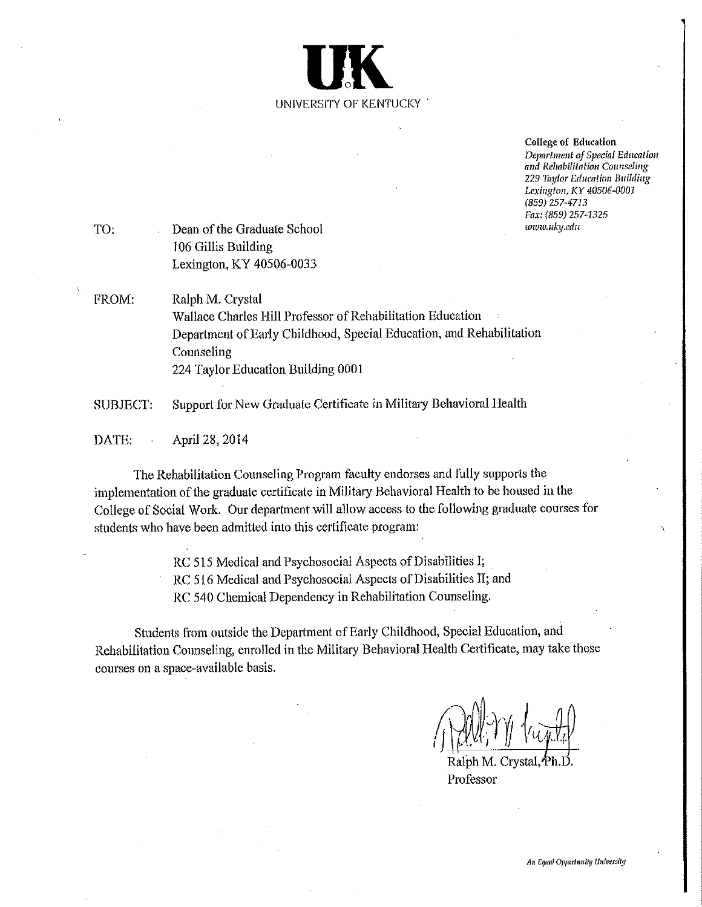

College of Education Department of Special Education and Rehabilitation Counseling 229 Taylor Education Building Lexington, KY 40506-0001  $(859)$  257-4713 Fax: (859) 257-1325 www.uky.edu

- TO: Dean of the Graduate School 106 Gillis Building Lexington, KY 40506-0033
- FROM: Ralph M. Crystal Wallace Charles Hill Professor of Rehabilitation Education Department of Early Childhood, Special Education, and Rehabilitation Counseling 224 Taylor Education Building 0001
- Support for New Graduate Certificate in Military Behavioral Health SUBJECT:

DATE: April 28, 2014

The Rehabilitation Counseling Program faculty endorses and fully supports the implementation of the graduate certificate in Military Behavioral Health to be housed in the College of Social Work. Our department will allow access to the following graduate courses for students who have been admitted into this certificate program:

> RC 515 Medical and Psychosocial Aspects of Disabilities I; RC 516 Medical and Psychosocial Aspects of Disabilities II; and RC 540 Chemical Dependency in Rehabilitation Counseling.

Students from outside the Department of Early Childhood, Special Education, and Rehabilitation Counseling, enrolled in the Military Behavioral Health Certificate, may take these courses on a space-available basis.

Professor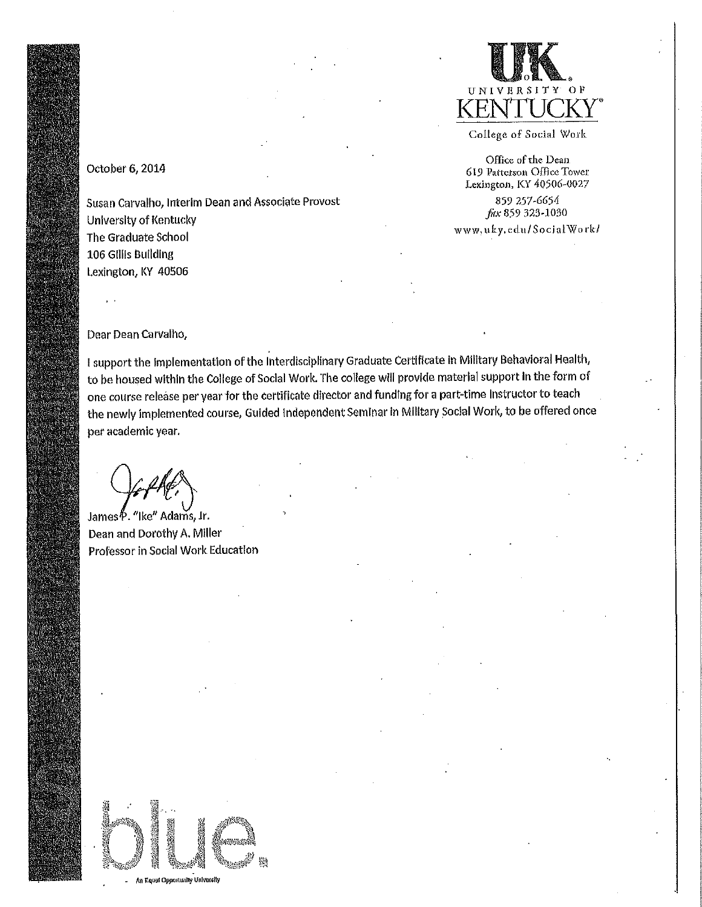

College of Social Work

Office of the Dean 619 Patterson Office Tower Lexington, KY 40506-0027

859 257-6654 fax 859 323-1030

www.uky.edu/SocialWork/

#### October 6, 2014

Susan Carvalho, Interim Dean and Associate Provost University of Kentucky The Graduate School 106 Gillis Building Lexington, KY 40506

Dear Dean Carvalho,

I support the implementation of the Interdisciplinary Graduate Certificate in Military Behavioral Health, to be housed within the College of Social Work. The college will provide material support in the form of one course release per year for the certificate director and funding for a part-time instructor to teach the newly implemented course, Guided Independent Seminar in Military Social Work, to be offered once per academic year.

James<sup>®</sup>. "Ike" Adams, Jr. Dean and Dorothy A. Miller Professor in Social Work Education

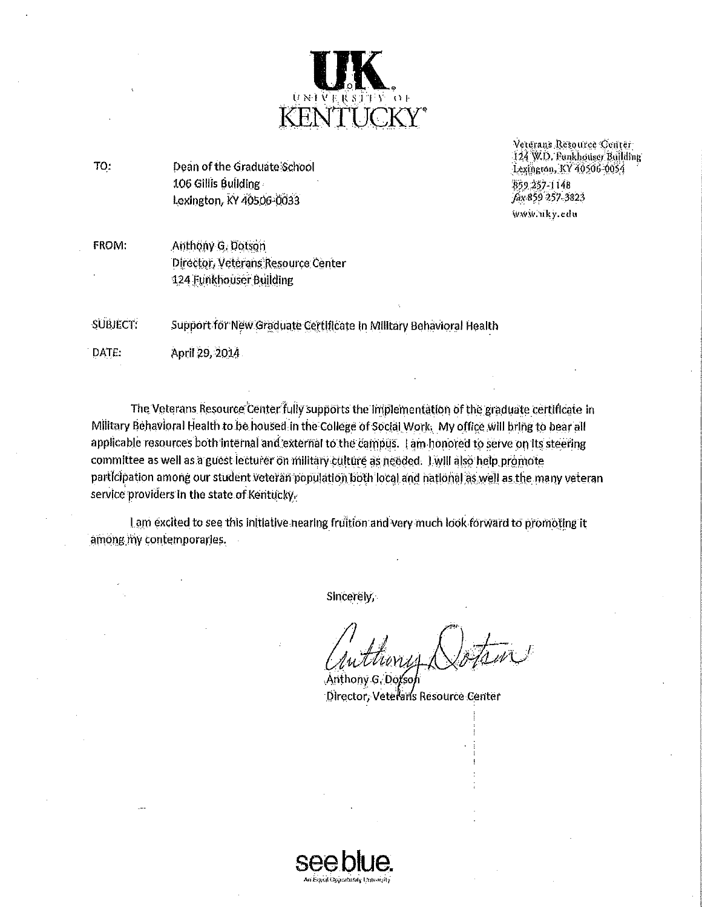

TO: Dean of the Graduate School 106 Gillis Building Lexington, KY 40506-0033

Vergrans Resource Center 124 W.D. Funkhouser Building Lexington, KY 40506-0054 859 257 1148 fax 859 257-3823 www.uky.edu

**FROM:** Anthony G. Dotson Director, Veterans Resource Center 124 Funkhouser Building

**SUBJECT:** Support for New Graduate Certificate in Military Behavioral Health

DATE: April 29, 2014

The Veterans Resource Center fully supports the implementation of the graduate certificate in Military Behavioral Health to be housed in the College of Social Work. My office will bring to bear all applicable resources both internal and external to the campus. I am honored to serve on its steering committee as well as a guest lecturer on military culture as needed. I will also help promote participation among our student veteran population both local and national as well as the many veteran service providers in the state of Kentucky.

I am excited to see this initiative nearing fruition and very much look forward to promoting it among my contemporaries.

Sincerely,

Anthony G, Dotso Director, Veteraris Resource Center

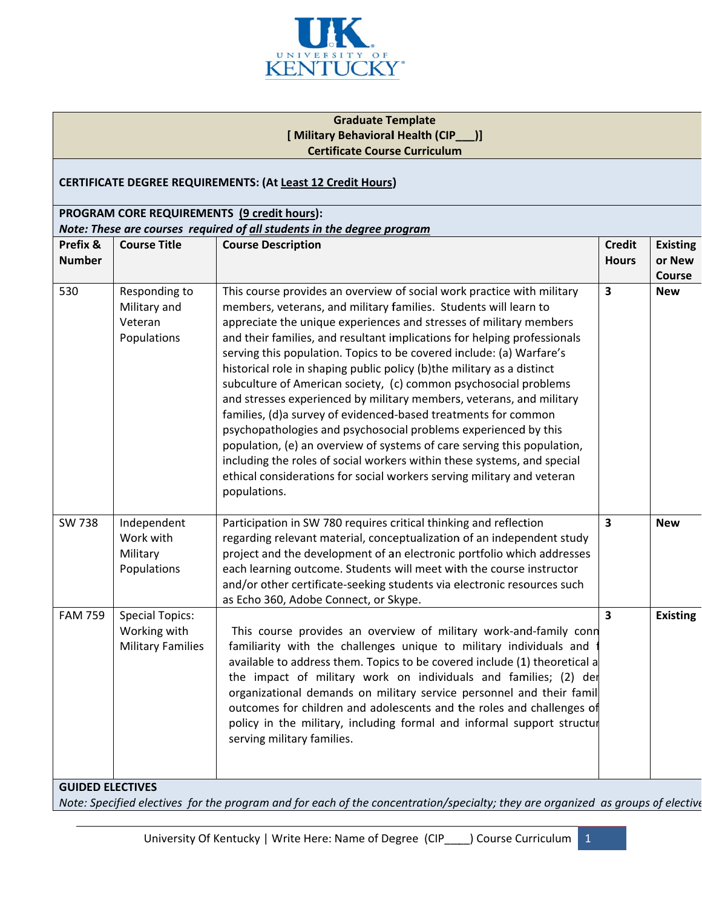

#### **Graduate Template** [Military Behavioral Health (CIP\_\_)] **Certificate Course Curriculum**

#### CERTIFICATE DEGREE REQUIREMENTS: (At Least 12 Credit Hours)

### PROGRAM CORE REQUIREMENTS (9 credit hours): Note: These are courses required of all students in the degree program

| $\overline{\mathbf{3}}$<br>530<br>This course provides an overview of social work practice with military<br>Responding to<br><b>New</b><br>Military and<br>members, veterans, and military families. Students will learn to<br>Veteran<br>appreciate the unique experiences and stresses of military members<br>and their families, and resultant implications for helping professionals<br>Populations<br>serving this population. Topics to be covered include: (a) Warfare's<br>historical role in shaping public policy (b)the military as a distinct<br>subculture of American society, (c) common psychosocial problems<br>and stresses experienced by military members, veterans, and military<br>families, (d)a survey of evidenced-based treatments for common<br>psychopathologies and psychosocial problems experienced by this<br>population, (e) an overview of systems of care serving this population,<br>including the roles of social workers within these systems, and special<br>ethical considerations for social workers serving military and veteran<br>populations.<br><b>SW 738</b><br>Participation in SW 780 requires critical thinking and reflection<br>$\overline{\mathbf{3}}$<br>Independent<br><b>New</b><br>regarding relevant material, conceptualization of an independent study<br>Work with<br>project and the development of an electronic portfolio which addresses<br>Military<br>each learning outcome. Students will meet with the course instructor<br>Populations<br>and/or other certificate-seeking students via electronic resources such<br>as Echo 360, Adobe Connect, or Skype.<br>$\overline{\mathbf{3}}$<br><b>FAM 759</b><br><b>Special Topics:</b><br>Working with<br>This course provides an overview of military work-and-family conn<br><b>Military Families</b><br>familiarity with the challenges unique to military individuals and<br>available to address them. Topics to be covered include (1) theoretical a<br>the impact of military work on individuals and families; (2) der<br>organizational demands on military service personnel and their famil | Prefix &<br><b>Number</b> | <b>Course Title</b> | <b>Course Description</b>                                             | <b>Credit</b><br><b>Hours</b> | <b>Existing</b><br>or New<br>Course |
|-------------------------------------------------------------------------------------------------------------------------------------------------------------------------------------------------------------------------------------------------------------------------------------------------------------------------------------------------------------------------------------------------------------------------------------------------------------------------------------------------------------------------------------------------------------------------------------------------------------------------------------------------------------------------------------------------------------------------------------------------------------------------------------------------------------------------------------------------------------------------------------------------------------------------------------------------------------------------------------------------------------------------------------------------------------------------------------------------------------------------------------------------------------------------------------------------------------------------------------------------------------------------------------------------------------------------------------------------------------------------------------------------------------------------------------------------------------------------------------------------------------------------------------------------------------------------------------------------------------------------------------------------------------------------------------------------------------------------------------------------------------------------------------------------------------------------------------------------------------------------------------------------------------------------------------------------------------------------------------------------------------------------------------------------------------------------------------------------------------------------|---------------------------|---------------------|-----------------------------------------------------------------------|-------------------------------|-------------------------------------|
|                                                                                                                                                                                                                                                                                                                                                                                                                                                                                                                                                                                                                                                                                                                                                                                                                                                                                                                                                                                                                                                                                                                                                                                                                                                                                                                                                                                                                                                                                                                                                                                                                                                                                                                                                                                                                                                                                                                                                                                                                                                                                                                         |                           |                     |                                                                       |                               |                                     |
|                                                                                                                                                                                                                                                                                                                                                                                                                                                                                                                                                                                                                                                                                                                                                                                                                                                                                                                                                                                                                                                                                                                                                                                                                                                                                                                                                                                                                                                                                                                                                                                                                                                                                                                                                                                                                                                                                                                                                                                                                                                                                                                         |                           |                     |                                                                       |                               |                                     |
| policy in the military, including formal and informal support structur<br>serving military families.                                                                                                                                                                                                                                                                                                                                                                                                                                                                                                                                                                                                                                                                                                                                                                                                                                                                                                                                                                                                                                                                                                                                                                                                                                                                                                                                                                                                                                                                                                                                                                                                                                                                                                                                                                                                                                                                                                                                                                                                                    |                           |                     | outcomes for children and adolescents and the roles and challenges of |                               | <b>Existing</b>                     |

Note: Specified electives for the program and for each of the concentration/specialty; they are organized as groups of elective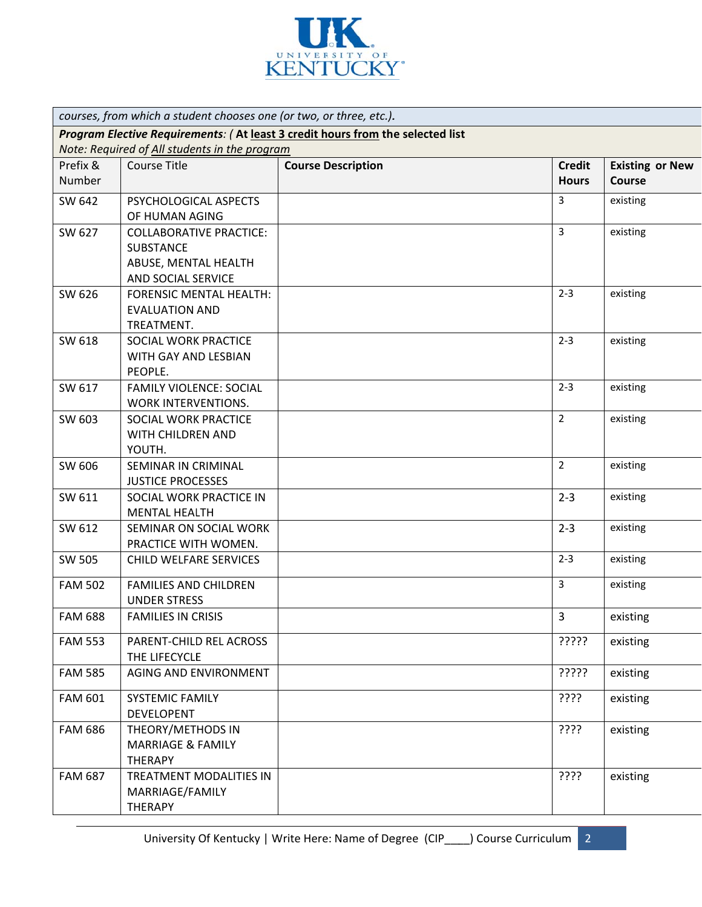

| courses, from which a student chooses one (or two, or three, etc.).            |                                               |                           |                |                        |  |
|--------------------------------------------------------------------------------|-----------------------------------------------|---------------------------|----------------|------------------------|--|
| Program Elective Requirements: (At least 3 credit hours from the selected list |                                               |                           |                |                        |  |
|                                                                                | Note: Required of All students in the program |                           |                |                        |  |
| Prefix &                                                                       | <b>Course Title</b>                           | <b>Course Description</b> | <b>Credit</b>  | <b>Existing or New</b> |  |
| Number                                                                         |                                               |                           | <b>Hours</b>   | <b>Course</b>          |  |
| SW 642                                                                         | PSYCHOLOGICAL ASPECTS                         |                           | 3              | existing               |  |
|                                                                                | OF HUMAN AGING                                |                           |                |                        |  |
| SW 627                                                                         | <b>COLLABORATIVE PRACTICE:</b>                |                           | $\overline{3}$ | existing               |  |
|                                                                                | <b>SUBSTANCE</b>                              |                           |                |                        |  |
|                                                                                | ABUSE, MENTAL HEALTH                          |                           |                |                        |  |
|                                                                                | AND SOCIAL SERVICE                            |                           |                |                        |  |
| SW 626                                                                         | <b>FORENSIC MENTAL HEALTH:</b>                |                           | $2 - 3$        | existing               |  |
|                                                                                | <b>EVALUATION AND</b>                         |                           |                |                        |  |
|                                                                                | TREATMENT.                                    |                           |                |                        |  |
| SW 618                                                                         | SOCIAL WORK PRACTICE                          |                           | $2 - 3$        | existing               |  |
|                                                                                | <b>WITH GAY AND LESBIAN</b>                   |                           |                |                        |  |
|                                                                                | PEOPLE.                                       |                           |                |                        |  |
| SW 617                                                                         | <b>FAMILY VIOLENCE: SOCIAL</b>                |                           | $2 - 3$        | existing               |  |
|                                                                                | WORK INTERVENTIONS.                           |                           |                |                        |  |
| SW 603                                                                         | SOCIAL WORK PRACTICE                          |                           | $\overline{2}$ | existing               |  |
|                                                                                | WITH CHILDREN AND                             |                           |                |                        |  |
|                                                                                | YOUTH.                                        |                           |                |                        |  |
| SW 606                                                                         | SEMINAR IN CRIMINAL                           |                           | $2^{\circ}$    | existing               |  |
|                                                                                | <b>JUSTICE PROCESSES</b>                      |                           |                |                        |  |
| SW 611                                                                         | SOCIAL WORK PRACTICE IN                       |                           | $2 - 3$        | existing               |  |
|                                                                                | <b>MENTAL HEALTH</b>                          |                           |                |                        |  |
| SW 612                                                                         | SEMINAR ON SOCIAL WORK                        |                           | $2 - 3$        | existing               |  |
|                                                                                | PRACTICE WITH WOMEN.                          |                           |                |                        |  |
| SW 505                                                                         | <b>CHILD WELFARE SERVICES</b>                 |                           | $2 - 3$        | existing               |  |
| <b>FAM 502</b>                                                                 | <b>FAMILIES AND CHILDREN</b>                  |                           | $\overline{3}$ | existing               |  |
|                                                                                | <b>UNDER STRESS</b>                           |                           |                |                        |  |
| <b>FAM 688</b>                                                                 | <b>FAMILIES IN CRISIS</b>                     |                           | $\overline{3}$ | existing               |  |
| <b>FAM 553</b>                                                                 | PARENT-CHILD REL ACROSS                       |                           | ?????          | existing               |  |
|                                                                                | THE LIFECYCLE                                 |                           |                |                        |  |
| <b>FAM 585</b>                                                                 | AGING AND ENVIRONMENT                         |                           | ?????          | existing               |  |
| <b>FAM 601</b>                                                                 | SYSTEMIC FAMILY                               |                           | ????           | existing               |  |
|                                                                                | <b>DEVELOPENT</b>                             |                           |                |                        |  |
| <b>FAM 686</b>                                                                 | THEORY/METHODS IN                             |                           | ????           | existing               |  |
|                                                                                | <b>MARRIAGE &amp; FAMILY</b>                  |                           |                |                        |  |
|                                                                                | <b>THERAPY</b>                                |                           |                |                        |  |
| <b>FAM 687</b>                                                                 | TREATMENT MODALITIES IN                       |                           | ????           | existing               |  |
|                                                                                | MARRIAGE/FAMILY                               |                           |                |                        |  |
|                                                                                | <b>THERAPY</b>                                |                           |                |                        |  |